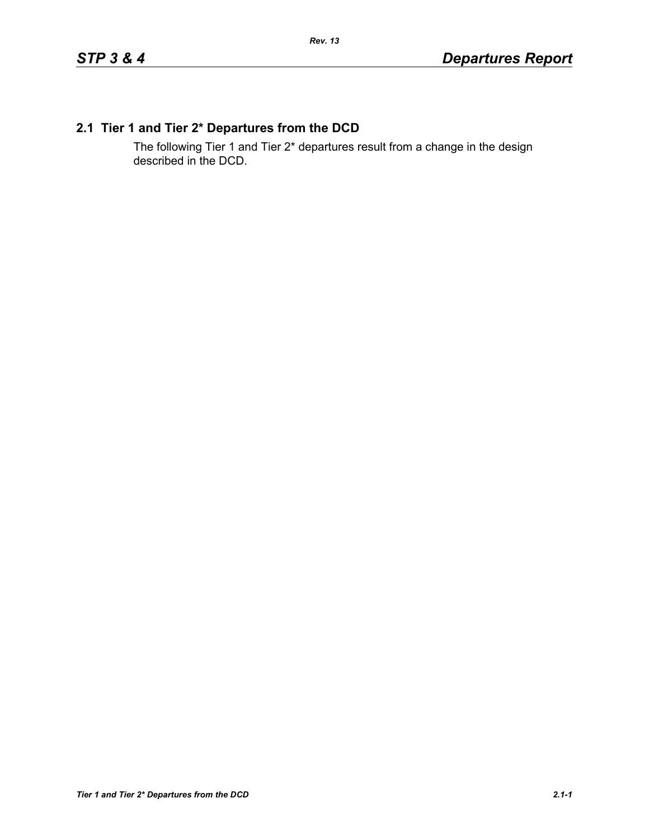# **2.1 Tier 1 and Tier 2\* Departures from the DCD**

The following Tier 1 and Tier 2\* departures result from a change in the design described in the DCD.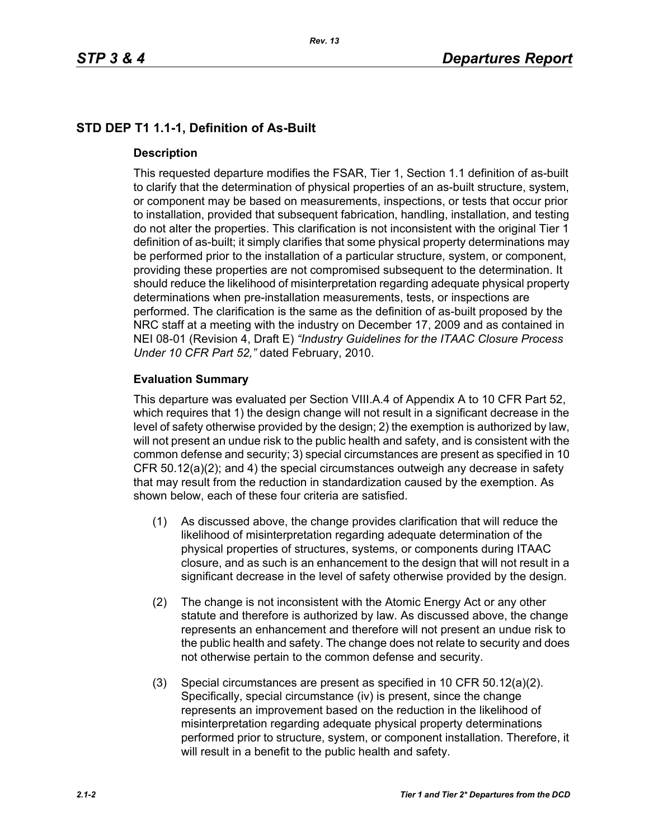# **STD DEP T1 1.1-1, Definition of As-Built**

#### **Description**

This requested departure modifies the FSAR, Tier 1, Section 1.1 definition of as-built to clarify that the determination of physical properties of an as-built structure, system, or component may be based on measurements, inspections, or tests that occur prior to installation, provided that subsequent fabrication, handling, installation, and testing do not alter the properties. This clarification is not inconsistent with the original Tier 1 definition of as-built; it simply clarifies that some physical property determinations may be performed prior to the installation of a particular structure, system, or component, providing these properties are not compromised subsequent to the determination. It should reduce the likelihood of misinterpretation regarding adequate physical property determinations when pre-installation measurements, tests, or inspections are performed. The clarification is the same as the definition of as-built proposed by the NRC staff at a meeting with the industry on December 17, 2009 and as contained in NEI 08-01 (Revision 4, Draft E) *"Industry Guidelines for the ITAAC Closure Process Under 10 CFR Part 52,"* dated February, 2010.

### **Evaluation Summary**

This departure was evaluated per Section VIII.A.4 of Appendix A to 10 CFR Part 52, which requires that 1) the design change will not result in a significant decrease in the level of safety otherwise provided by the design; 2) the exemption is authorized by law, will not present an undue risk to the public health and safety, and is consistent with the common defense and security; 3) special circumstances are present as specified in 10 CFR 50.12(a)(2); and 4) the special circumstances outweigh any decrease in safety that may result from the reduction in standardization caused by the exemption. As shown below, each of these four criteria are satisfied.

- (1) As discussed above, the change provides clarification that will reduce the likelihood of misinterpretation regarding adequate determination of the physical properties of structures, systems, or components during ITAAC closure, and as such is an enhancement to the design that will not result in a significant decrease in the level of safety otherwise provided by the design.
- (2) The change is not inconsistent with the Atomic Energy Act or any other statute and therefore is authorized by law. As discussed above, the change represents an enhancement and therefore will not present an undue risk to the public health and safety. The change does not relate to security and does not otherwise pertain to the common defense and security.
- (3) Special circumstances are present as specified in 10 CFR 50.12(a)(2). Specifically, special circumstance (iv) is present, since the change represents an improvement based on the reduction in the likelihood of misinterpretation regarding adequate physical property determinations performed prior to structure, system, or component installation. Therefore, it will result in a benefit to the public health and safety.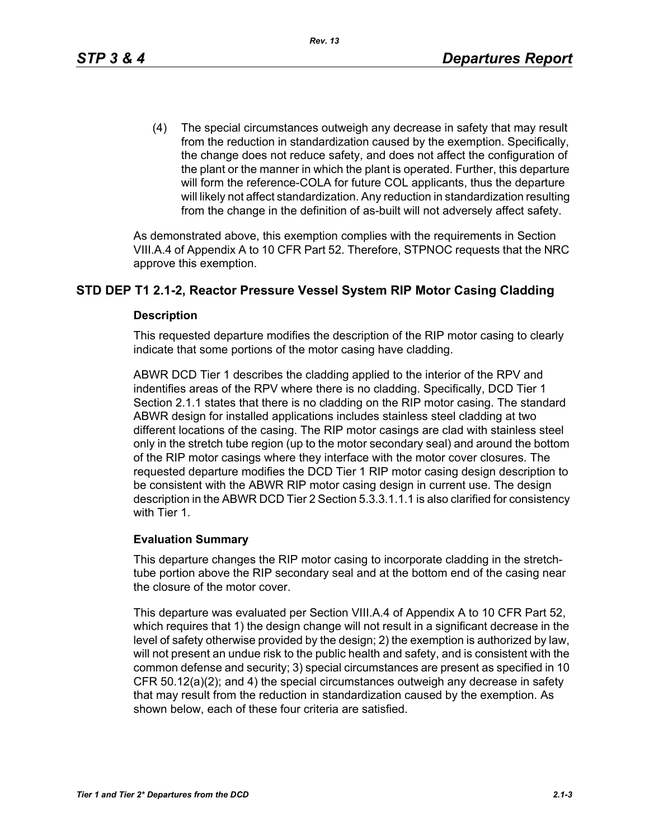(4) The special circumstances outweigh any decrease in safety that may result from the reduction in standardization caused by the exemption. Specifically, the change does not reduce safety, and does not affect the configuration of the plant or the manner in which the plant is operated. Further, this departure will form the reference-COLA for future COL applicants, thus the departure will likely not affect standardization. Any reduction in standardization resulting from the change in the definition of as-built will not adversely affect safety.

As demonstrated above, this exemption complies with the requirements in Section VIII.A.4 of Appendix A to 10 CFR Part 52. Therefore, STPNOC requests that the NRC approve this exemption.

# **STD DEP T1 2.1-2, Reactor Pressure Vessel System RIP Motor Casing Cladding**

#### **Description**

This requested departure modifies the description of the RIP motor casing to clearly indicate that some portions of the motor casing have cladding.

ABWR DCD Tier 1 describes the cladding applied to the interior of the RPV and indentifies areas of the RPV where there is no cladding. Specifically, DCD Tier 1 Section 2.1.1 states that there is no cladding on the RIP motor casing. The standard ABWR design for installed applications includes stainless steel cladding at two different locations of the casing. The RIP motor casings are clad with stainless steel only in the stretch tube region (up to the motor secondary seal) and around the bottom of the RIP motor casings where they interface with the motor cover closures. The requested departure modifies the DCD Tier 1 RIP motor casing design description to be consistent with the ABWR RIP motor casing design in current use. The design description in the ABWR DCD Tier 2 Section 5.3.3.1.1.1 is also clarified for consistency with Tier 1.

#### **Evaluation Summary**

This departure changes the RIP motor casing to incorporate cladding in the stretchtube portion above the RIP secondary seal and at the bottom end of the casing near the closure of the motor cover.

This departure was evaluated per Section VIII.A.4 of Appendix A to 10 CFR Part 52, which requires that 1) the design change will not result in a significant decrease in the level of safety otherwise provided by the design; 2) the exemption is authorized by law, will not present an undue risk to the public health and safety, and is consistent with the common defense and security; 3) special circumstances are present as specified in 10 CFR 50.12(a)(2); and 4) the special circumstances outweigh any decrease in safety that may result from the reduction in standardization caused by the exemption. As shown below, each of these four criteria are satisfied.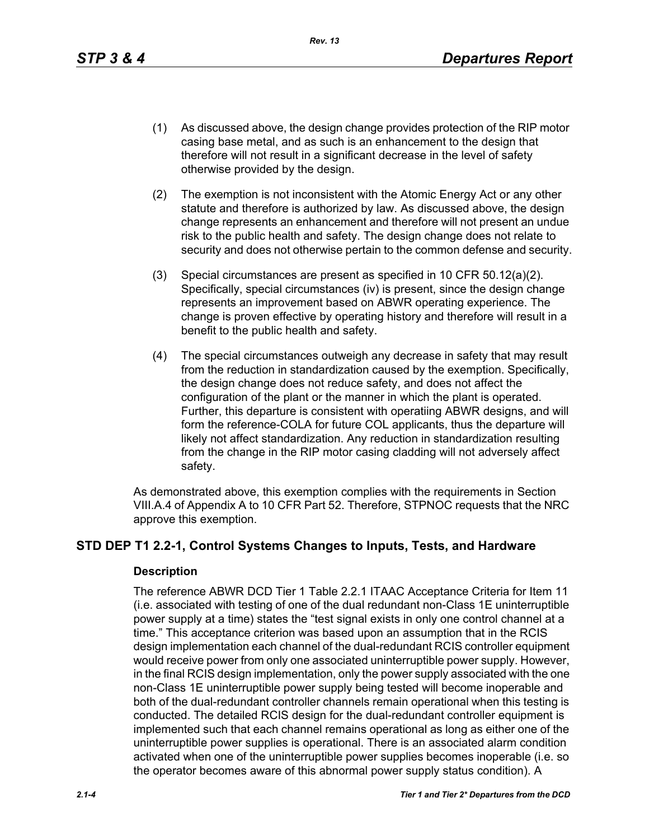*Rev. 13*

- (1) As discussed above, the design change provides protection of the RIP motor casing base metal, and as such is an enhancement to the design that therefore will not result in a significant decrease in the level of safety otherwise provided by the design.
- (2) The exemption is not inconsistent with the Atomic Energy Act or any other statute and therefore is authorized by law. As discussed above, the design change represents an enhancement and therefore will not present an undue risk to the public health and safety. The design change does not relate to security and does not otherwise pertain to the common defense and security.
- (3) Special circumstances are present as specified in 10 CFR 50.12(a)(2). Specifically, special circumstances (iv) is present, since the design change represents an improvement based on ABWR operating experience. The change is proven effective by operating history and therefore will result in a benefit to the public health and safety.
- (4) The special circumstances outweigh any decrease in safety that may result from the reduction in standardization caused by the exemption. Specifically, the design change does not reduce safety, and does not affect the configuration of the plant or the manner in which the plant is operated. Further, this departure is consistent with operatiing ABWR designs, and will form the reference-COLA for future COL applicants, thus the departure will likely not affect standardization. Any reduction in standardization resulting from the change in the RIP motor casing cladding will not adversely affect safety.

As demonstrated above, this exemption complies with the requirements in Section VIII.A.4 of Appendix A to 10 CFR Part 52. Therefore, STPNOC requests that the NRC approve this exemption.

# **STD DEP T1 2.2-1, Control Systems Changes to Inputs, Tests, and Hardware**

#### **Description**

The reference ABWR DCD Tier 1 Table 2.2.1 ITAAC Acceptance Criteria for Item 11 (i.e. associated with testing of one of the dual redundant non-Class 1E uninterruptible power supply at a time) states the "test signal exists in only one control channel at a time." This acceptance criterion was based upon an assumption that in the RCIS design implementation each channel of the dual-redundant RCIS controller equipment would receive power from only one associated uninterruptible power supply. However, in the final RCIS design implementation, only the power supply associated with the one non-Class 1E uninterruptible power supply being tested will become inoperable and both of the dual-redundant controller channels remain operational when this testing is conducted. The detailed RCIS design for the dual-redundant controller equipment is implemented such that each channel remains operational as long as either one of the uninterruptible power supplies is operational. There is an associated alarm condition activated when one of the uninterruptible power supplies becomes inoperable (i.e. so the operator becomes aware of this abnormal power supply status condition). A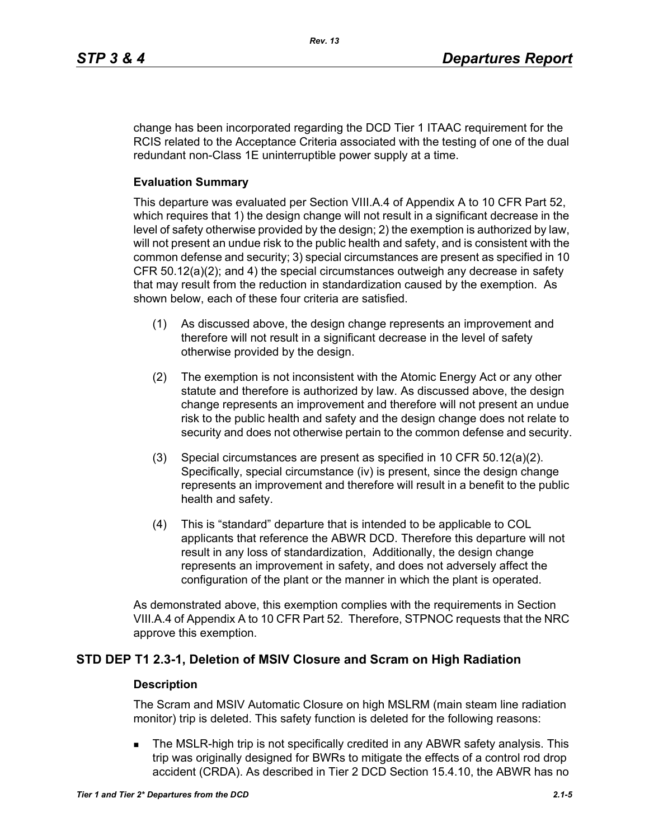change has been incorporated regarding the DCD Tier 1 ITAAC requirement for the RCIS related to the Acceptance Criteria associated with the testing of one of the dual redundant non-Class 1E uninterruptible power supply at a time.

# **Evaluation Summary**

This departure was evaluated per Section VIII.A.4 of Appendix A to 10 CFR Part 52, which requires that 1) the design change will not result in a significant decrease in the level of safety otherwise provided by the design; 2) the exemption is authorized by law, will not present an undue risk to the public health and safety, and is consistent with the common defense and security; 3) special circumstances are present as specified in 10 CFR 50.12(a)(2); and 4) the special circumstances outweigh any decrease in safety that may result from the reduction in standardization caused by the exemption. As shown below, each of these four criteria are satisfied.

- (1) As discussed above, the design change represents an improvement and therefore will not result in a significant decrease in the level of safety otherwise provided by the design.
- (2) The exemption is not inconsistent with the Atomic Energy Act or any other statute and therefore is authorized by law. As discussed above, the design change represents an improvement and therefore will not present an undue risk to the public health and safety and the design change does not relate to security and does not otherwise pertain to the common defense and security.
- (3) Special circumstances are present as specified in 10 CFR 50.12(a)(2). Specifically, special circumstance (iv) is present, since the design change represents an improvement and therefore will result in a benefit to the public health and safety.
- (4) This is "standard" departure that is intended to be applicable to COL applicants that reference the ABWR DCD. Therefore this departure will not result in any loss of standardization, Additionally, the design change represents an improvement in safety, and does not adversely affect the configuration of the plant or the manner in which the plant is operated.

As demonstrated above, this exemption complies with the requirements in Section VIII.A.4 of Appendix A to 10 CFR Part 52. Therefore, STPNOC requests that the NRC approve this exemption.

# **STD DEP T1 2.3-1, Deletion of MSIV Closure and Scram on High Radiation**

#### **Description**

The Scram and MSIV Automatic Closure on high MSLRM (main steam line radiation monitor) trip is deleted. This safety function is deleted for the following reasons:

 The MSLR-high trip is not specifically credited in any ABWR safety analysis. This trip was originally designed for BWRs to mitigate the effects of a control rod drop accident (CRDA). As described in Tier 2 DCD Section 15.4.10, the ABWR has no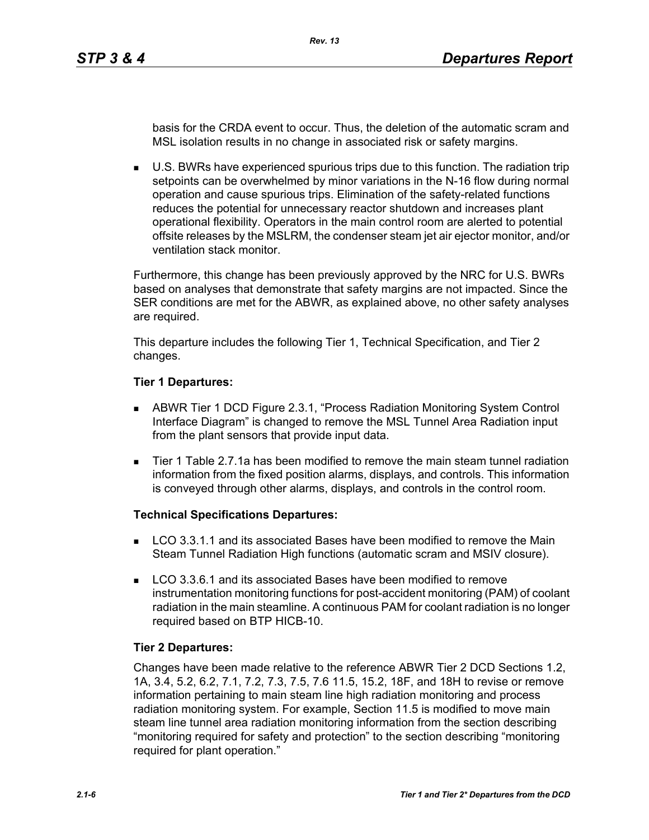basis for the CRDA event to occur. Thus, the deletion of the automatic scram and MSL isolation results in no change in associated risk or safety margins.

 U.S. BWRs have experienced spurious trips due to this function. The radiation trip setpoints can be overwhelmed by minor variations in the N-16 flow during normal operation and cause spurious trips. Elimination of the safety-related functions reduces the potential for unnecessary reactor shutdown and increases plant operational flexibility. Operators in the main control room are alerted to potential offsite releases by the MSLRM, the condenser steam jet air ejector monitor, and/or ventilation stack monitor.

Furthermore, this change has been previously approved by the NRC for U.S. BWRs based on analyses that demonstrate that safety margins are not impacted. Since the SER conditions are met for the ABWR, as explained above, no other safety analyses are required.

This departure includes the following Tier 1, Technical Specification, and Tier 2 changes.

#### **Tier 1 Departures:**

- ABWR Tier 1 DCD Figure 2.3.1, "Process Radiation Monitoring System Control Interface Diagram" is changed to remove the MSL Tunnel Area Radiation input from the plant sensors that provide input data.
- Tier 1 Table 2.7.1a has been modified to remove the main steam tunnel radiation information from the fixed position alarms, displays, and controls. This information is conveyed through other alarms, displays, and controls in the control room.

#### **Technical Specifications Departures:**

- LCO 3.3.1.1 and its associated Bases have been modified to remove the Main Steam Tunnel Radiation High functions (automatic scram and MSIV closure).
- **LCO 3.3.6.1 and its associated Bases have been modified to remove** instrumentation monitoring functions for post-accident monitoring (PAM) of coolant radiation in the main steamline. A continuous PAM for coolant radiation is no longer required based on BTP HICB-10.

#### **Tier 2 Departures:**

Changes have been made relative to the reference ABWR Tier 2 DCD Sections 1.2, 1A, 3.4, 5.2, 6.2, 7.1, 7.2, 7.3, 7.5, 7.6 11.5, 15.2, 18F, and 18H to revise or remove information pertaining to main steam line high radiation monitoring and process radiation monitoring system. For example, Section 11.5 is modified to move main steam line tunnel area radiation monitoring information from the section describing "monitoring required for safety and protection" to the section describing "monitoring required for plant operation."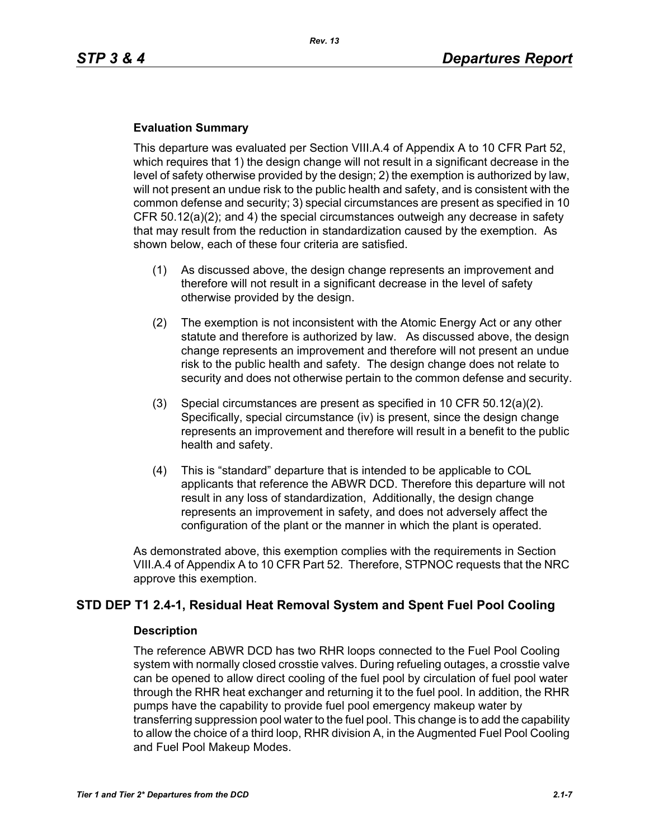#### **Evaluation Summary**

This departure was evaluated per Section VIII.A.4 of Appendix A to 10 CFR Part 52, which requires that 1) the design change will not result in a significant decrease in the level of safety otherwise provided by the design; 2) the exemption is authorized by law, will not present an undue risk to the public health and safety, and is consistent with the common defense and security; 3) special circumstances are present as specified in 10 CFR 50.12(a)(2); and 4) the special circumstances outweigh any decrease in safety that may result from the reduction in standardization caused by the exemption. As shown below, each of these four criteria are satisfied.

- (1) As discussed above, the design change represents an improvement and therefore will not result in a significant decrease in the level of safety otherwise provided by the design.
- (2) The exemption is not inconsistent with the Atomic Energy Act or any other statute and therefore is authorized by law. As discussed above, the design change represents an improvement and therefore will not present an undue risk to the public health and safety. The design change does not relate to security and does not otherwise pertain to the common defense and security.
- (3) Special circumstances are present as specified in 10 CFR 50.12(a)(2). Specifically, special circumstance (iv) is present, since the design change represents an improvement and therefore will result in a benefit to the public health and safety.
- (4) This is "standard" departure that is intended to be applicable to COL applicants that reference the ABWR DCD. Therefore this departure will not result in any loss of standardization, Additionally, the design change represents an improvement in safety, and does not adversely affect the configuration of the plant or the manner in which the plant is operated.

As demonstrated above, this exemption complies with the requirements in Section VIII.A.4 of Appendix A to 10 CFR Part 52. Therefore, STPNOC requests that the NRC approve this exemption.

# **STD DEP T1 2.4-1, Residual Heat Removal System and Spent Fuel Pool Cooling**

#### **Description**

The reference ABWR DCD has two RHR loops connected to the Fuel Pool Cooling system with normally closed crosstie valves. During refueling outages, a crosstie valve can be opened to allow direct cooling of the fuel pool by circulation of fuel pool water through the RHR heat exchanger and returning it to the fuel pool. In addition, the RHR pumps have the capability to provide fuel pool emergency makeup water by transferring suppression pool water to the fuel pool. This change is to add the capability to allow the choice of a third loop, RHR division A, in the Augmented Fuel Pool Cooling and Fuel Pool Makeup Modes.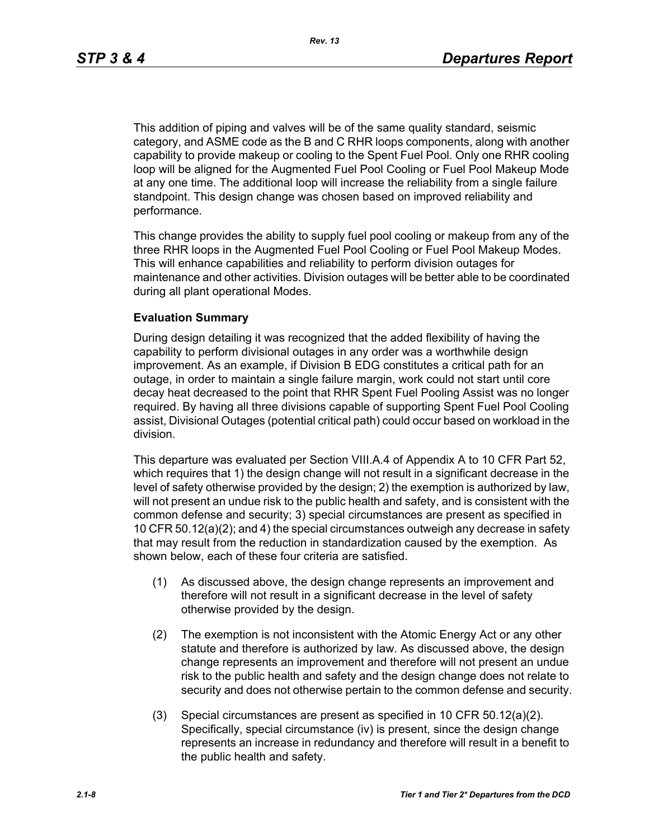This addition of piping and valves will be of the same quality standard, seismic category, and ASME code as the B and C RHR loops components, along with another capability to provide makeup or cooling to the Spent Fuel Pool. Only one RHR cooling loop will be aligned for the Augmented Fuel Pool Cooling or Fuel Pool Makeup Mode at any one time. The additional loop will increase the reliability from a single failure standpoint. This design change was chosen based on improved reliability and performance.

This change provides the ability to supply fuel pool cooling or makeup from any of the three RHR loops in the Augmented Fuel Pool Cooling or Fuel Pool Makeup Modes. This will enhance capabilities and reliability to perform division outages for maintenance and other activities. Division outages will be better able to be coordinated during all plant operational Modes.

#### **Evaluation Summary**

During design detailing it was recognized that the added flexibility of having the capability to perform divisional outages in any order was a worthwhile design improvement. As an example, if Division B EDG constitutes a critical path for an outage, in order to maintain a single failure margin, work could not start until core decay heat decreased to the point that RHR Spent Fuel Pooling Assist was no longer required. By having all three divisions capable of supporting Spent Fuel Pool Cooling assist, Divisional Outages (potential critical path) could occur based on workload in the division.

This departure was evaluated per Section VIII.A.4 of Appendix A to 10 CFR Part 52, which requires that 1) the design change will not result in a significant decrease in the level of safety otherwise provided by the design; 2) the exemption is authorized by law, will not present an undue risk to the public health and safety, and is consistent with the common defense and security; 3) special circumstances are present as specified in 10 CFR 50.12(a)(2); and 4) the special circumstances outweigh any decrease in safety that may result from the reduction in standardization caused by the exemption. As shown below, each of these four criteria are satisfied.

- (1) As discussed above, the design change represents an improvement and therefore will not result in a significant decrease in the level of safety otherwise provided by the design.
- (2) The exemption is not inconsistent with the Atomic Energy Act or any other statute and therefore is authorized by law. As discussed above, the design change represents an improvement and therefore will not present an undue risk to the public health and safety and the design change does not relate to security and does not otherwise pertain to the common defense and security.
- (3) Special circumstances are present as specified in 10 CFR 50.12(a)(2). Specifically, special circumstance (iv) is present, since the design change represents an increase in redundancy and therefore will result in a benefit to the public health and safety.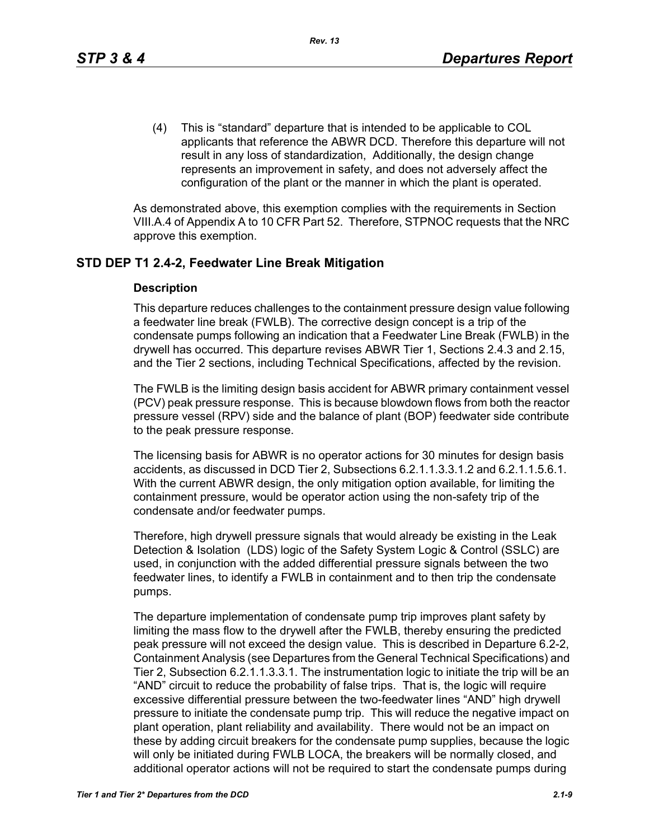(4) This is "standard" departure that is intended to be applicable to COL applicants that reference the ABWR DCD. Therefore this departure will not result in any loss of standardization, Additionally, the design change represents an improvement in safety, and does not adversely affect the configuration of the plant or the manner in which the plant is operated.

As demonstrated above, this exemption complies with the requirements in Section VIII.A.4 of Appendix A to 10 CFR Part 52. Therefore, STPNOC requests that the NRC approve this exemption.

# **STD DEP T1 2.4-2, Feedwater Line Break Mitigation**

#### **Description**

This departure reduces challenges to the containment pressure design value following a feedwater line break (FWLB). The corrective design concept is a trip of the condensate pumps following an indication that a Feedwater Line Break (FWLB) in the drywell has occurred. This departure revises ABWR Tier 1, Sections 2.4.3 and 2.15, and the Tier 2 sections, including Technical Specifications, affected by the revision.

The FWLB is the limiting design basis accident for ABWR primary containment vessel (PCV) peak pressure response. This is because blowdown flows from both the reactor pressure vessel (RPV) side and the balance of plant (BOP) feedwater side contribute to the peak pressure response.

The licensing basis for ABWR is no operator actions for 30 minutes for design basis accidents, as discussed in DCD Tier 2, Subsections 6.2.1.1.3.3.1.2 and 6.2.1.1.5.6.1. With the current ABWR design, the only mitigation option available, for limiting the containment pressure, would be operator action using the non-safety trip of the condensate and/or feedwater pumps.

Therefore, high drywell pressure signals that would already be existing in the Leak Detection & Isolation (LDS) logic of the Safety System Logic & Control (SSLC) are used, in conjunction with the added differential pressure signals between the two feedwater lines, to identify a FWLB in containment and to then trip the condensate pumps.

The departure implementation of condensate pump trip improves plant safety by limiting the mass flow to the drywell after the FWLB, thereby ensuring the predicted peak pressure will not exceed the design value. This is described in Departure 6.2-2, Containment Analysis (see Departures from the General Technical Specifications) and Tier 2, Subsection 6.2.1.1.3.3.1. The instrumentation logic to initiate the trip will be an "AND" circuit to reduce the probability of false trips. That is, the logic will require excessive differential pressure between the two-feedwater lines "AND" high drywell pressure to initiate the condensate pump trip. This will reduce the negative impact on plant operation, plant reliability and availability. There would not be an impact on these by adding circuit breakers for the condensate pump supplies, because the logic will only be initiated during FWLB LOCA, the breakers will be normally closed, and additional operator actions will not be required to start the condensate pumps during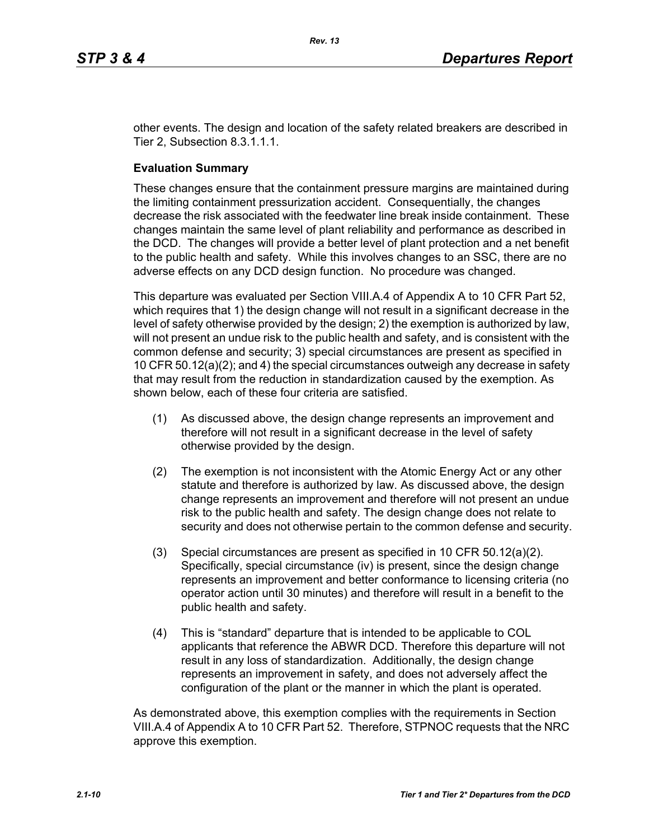other events. The design and location of the safety related breakers are described in Tier 2, Subsection 8.3.1.1.1.

### **Evaluation Summary**

These changes ensure that the containment pressure margins are maintained during the limiting containment pressurization accident. Consequentially, the changes decrease the risk associated with the feedwater line break inside containment. These changes maintain the same level of plant reliability and performance as described in the DCD. The changes will provide a better level of plant protection and a net benefit to the public health and safety. While this involves changes to an SSC, there are no adverse effects on any DCD design function. No procedure was changed.

This departure was evaluated per Section VIII.A.4 of Appendix A to 10 CFR Part 52, which requires that 1) the design change will not result in a significant decrease in the level of safety otherwise provided by the design; 2) the exemption is authorized by law, will not present an undue risk to the public health and safety, and is consistent with the common defense and security; 3) special circumstances are present as specified in 10 CFR 50.12(a)(2); and 4) the special circumstances outweigh any decrease in safety that may result from the reduction in standardization caused by the exemption. As shown below, each of these four criteria are satisfied.

- (1) As discussed above, the design change represents an improvement and therefore will not result in a significant decrease in the level of safety otherwise provided by the design.
- (2) The exemption is not inconsistent with the Atomic Energy Act or any other statute and therefore is authorized by law. As discussed above, the design change represents an improvement and therefore will not present an undue risk to the public health and safety. The design change does not relate to security and does not otherwise pertain to the common defense and security.
- (3) Special circumstances are present as specified in 10 CFR 50.12(a)(2). Specifically, special circumstance (iv) is present, since the design change represents an improvement and better conformance to licensing criteria (no operator action until 30 minutes) and therefore will result in a benefit to the public health and safety.
- (4) This is "standard" departure that is intended to be applicable to COL applicants that reference the ABWR DCD. Therefore this departure will not result in any loss of standardization. Additionally, the design change represents an improvement in safety, and does not adversely affect the configuration of the plant or the manner in which the plant is operated.

As demonstrated above, this exemption complies with the requirements in Section VIII.A.4 of Appendix A to 10 CFR Part 52. Therefore, STPNOC requests that the NRC approve this exemption.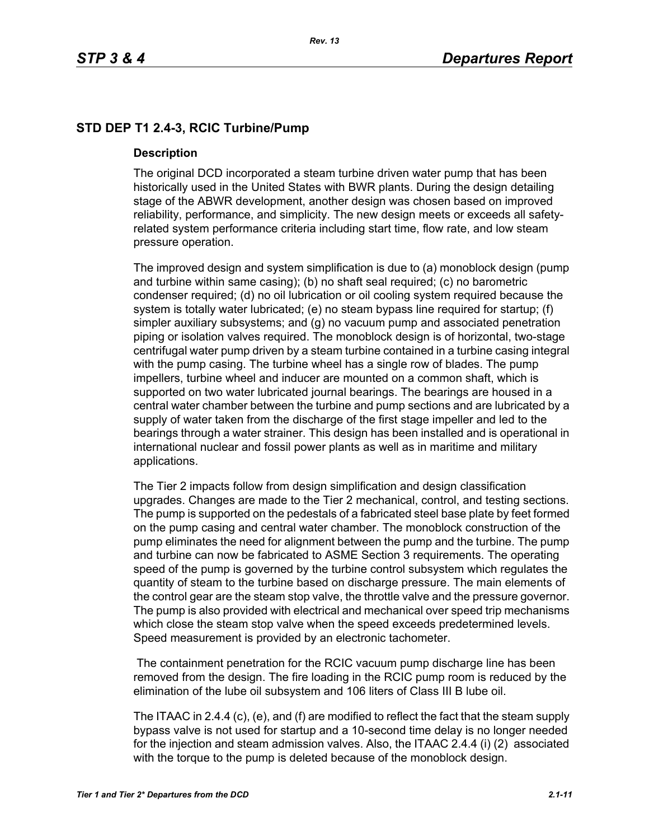# **STD DEP T1 2.4-3, RCIC Turbine/Pump**

#### **Description**

The original DCD incorporated a steam turbine driven water pump that has been historically used in the United States with BWR plants. During the design detailing stage of the ABWR development, another design was chosen based on improved reliability, performance, and simplicity. The new design meets or exceeds all safetyrelated system performance criteria including start time, flow rate, and low steam pressure operation.

The improved design and system simplification is due to (a) monoblock design (pump and turbine within same casing); (b) no shaft seal required; (c) no barometric condenser required; (d) no oil lubrication or oil cooling system required because the system is totally water lubricated; (e) no steam bypass line required for startup; (f) simpler auxiliary subsystems; and (g) no vacuum pump and associated penetration piping or isolation valves required. The monoblock design is of horizontal, two-stage centrifugal water pump driven by a steam turbine contained in a turbine casing integral with the pump casing. The turbine wheel has a single row of blades. The pump impellers, turbine wheel and inducer are mounted on a common shaft, which is supported on two water lubricated journal bearings. The bearings are housed in a central water chamber between the turbine and pump sections and are lubricated by a supply of water taken from the discharge of the first stage impeller and led to the bearings through a water strainer. This design has been installed and is operational in international nuclear and fossil power plants as well as in maritime and military applications.

The Tier 2 impacts follow from design simplification and design classification upgrades. Changes are made to the Tier 2 mechanical, control, and testing sections. The pump is supported on the pedestals of a fabricated steel base plate by feet formed on the pump casing and central water chamber. The monoblock construction of the pump eliminates the need for alignment between the pump and the turbine. The pump and turbine can now be fabricated to ASME Section 3 requirements. The operating speed of the pump is governed by the turbine control subsystem which regulates the quantity of steam to the turbine based on discharge pressure. The main elements of the control gear are the steam stop valve, the throttle valve and the pressure governor. The pump is also provided with electrical and mechanical over speed trip mechanisms which close the steam stop valve when the speed exceeds predetermined levels. Speed measurement is provided by an electronic tachometer.

 The containment penetration for the RCIC vacuum pump discharge line has been removed from the design. The fire loading in the RCIC pump room is reduced by the elimination of the lube oil subsystem and 106 liters of Class III B lube oil.

The ITAAC in 2.4.4 (c), (e), and (f) are modified to reflect the fact that the steam supply bypass valve is not used for startup and a 10-second time delay is no longer needed for the injection and steam admission valves. Also, the ITAAC 2.4.4 (i) (2) associated with the torque to the pump is deleted because of the monoblock design.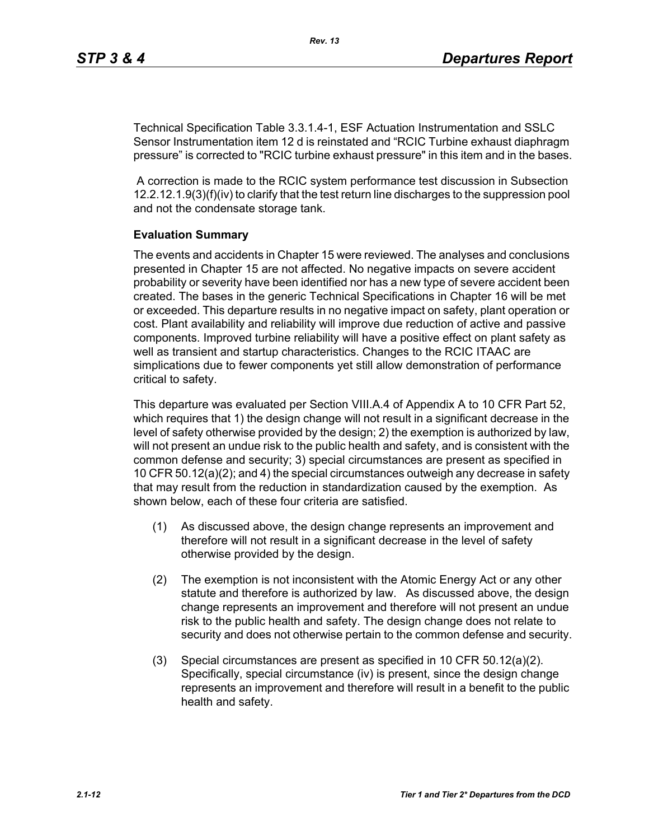Technical Specification Table 3.3.1.4-1, ESF Actuation Instrumentation and SSLC Sensor Instrumentation item 12 d is reinstated and "RCIC Turbine exhaust diaphragm pressure" is corrected to "RCIC turbine exhaust pressure" in this item and in the bases.

 A correction is made to the RCIC system performance test discussion in Subsection 12.2.12.1.9(3)(f)(iv) to clarify that the test return line discharges to the suppression pool and not the condensate storage tank.

#### **Evaluation Summary**

The events and accidents in Chapter 15 were reviewed. The analyses and conclusions presented in Chapter 15 are not affected. No negative impacts on severe accident probability or severity have been identified nor has a new type of severe accident been created. The bases in the generic Technical Specifications in Chapter 16 will be met or exceeded. This departure results in no negative impact on safety, plant operation or cost. Plant availability and reliability will improve due reduction of active and passive components. Improved turbine reliability will have a positive effect on plant safety as well as transient and startup characteristics. Changes to the RCIC ITAAC are simplications due to fewer components yet still allow demonstration of performance critical to safety.

This departure was evaluated per Section VIII.A.4 of Appendix A to 10 CFR Part 52, which requires that 1) the design change will not result in a significant decrease in the level of safety otherwise provided by the design; 2) the exemption is authorized by law, will not present an undue risk to the public health and safety, and is consistent with the common defense and security; 3) special circumstances are present as specified in 10 CFR 50.12(a)(2); and 4) the special circumstances outweigh any decrease in safety that may result from the reduction in standardization caused by the exemption. As shown below, each of these four criteria are satisfied.

- (1) As discussed above, the design change represents an improvement and therefore will not result in a significant decrease in the level of safety otherwise provided by the design.
- (2) The exemption is not inconsistent with the Atomic Energy Act or any other statute and therefore is authorized by law. As discussed above, the design change represents an improvement and therefore will not present an undue risk to the public health and safety. The design change does not relate to security and does not otherwise pertain to the common defense and security.
- (3) Special circumstances are present as specified in 10 CFR 50.12(a)(2). Specifically, special circumstance (iv) is present, since the design change represents an improvement and therefore will result in a benefit to the public health and safety.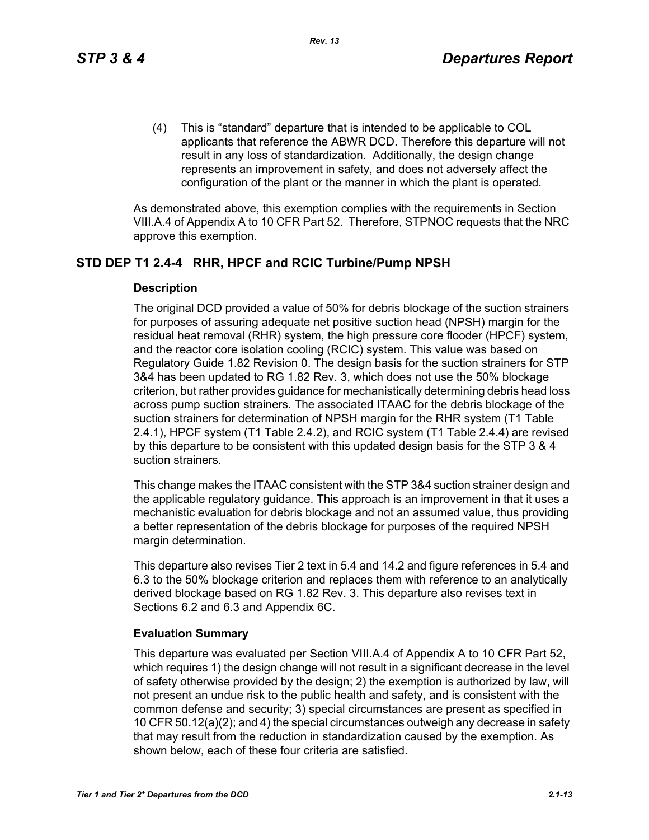(4) This is "standard" departure that is intended to be applicable to COL applicants that reference the ABWR DCD. Therefore this departure will not result in any loss of standardization. Additionally, the design change represents an improvement in safety, and does not adversely affect the configuration of the plant or the manner in which the plant is operated.

As demonstrated above, this exemption complies with the requirements in Section VIII.A.4 of Appendix A to 10 CFR Part 52. Therefore, STPNOC requests that the NRC approve this exemption.

# **STD DEP T1 2.4-4 RHR, HPCF and RCIC Turbine/Pump NPSH**

#### **Description**

The original DCD provided a value of 50% for debris blockage of the suction strainers for purposes of assuring adequate net positive suction head (NPSH) margin for the residual heat removal (RHR) system, the high pressure core flooder (HPCF) system, and the reactor core isolation cooling (RCIC) system. This value was based on Regulatory Guide 1.82 Revision 0. The design basis for the suction strainers for STP 3&4 has been updated to RG 1.82 Rev. 3, which does not use the 50% blockage criterion, but rather provides guidance for mechanistically determining debris head loss across pump suction strainers. The associated ITAAC for the debris blockage of the suction strainers for determination of NPSH margin for the RHR system (T1 Table 2.4.1), HPCF system (T1 Table 2.4.2), and RCIC system (T1 Table 2.4.4) are revised by this departure to be consistent with this updated design basis for the STP 3 & 4 suction strainers.

This change makes the ITAAC consistent with the STP 3&4 suction strainer design and the applicable regulatory guidance. This approach is an improvement in that it uses a mechanistic evaluation for debris blockage and not an assumed value, thus providing a better representation of the debris blockage for purposes of the required NPSH margin determination.

This departure also revises Tier 2 text in 5.4 and 14.2 and figure references in 5.4 and 6.3 to the 50% blockage criterion and replaces them with reference to an analytically derived blockage based on RG 1.82 Rev. 3. This departure also revises text in Sections 6.2 and 6.3 and Appendix 6C.

# **Evaluation Summary**

This departure was evaluated per Section VIII.A.4 of Appendix A to 10 CFR Part 52, which requires 1) the design change will not result in a significant decrease in the level of safety otherwise provided by the design; 2) the exemption is authorized by law, will not present an undue risk to the public health and safety, and is consistent with the common defense and security; 3) special circumstances are present as specified in 10 CFR 50.12(a)(2); and 4) the special circumstances outweigh any decrease in safety that may result from the reduction in standardization caused by the exemption. As shown below, each of these four criteria are satisfied.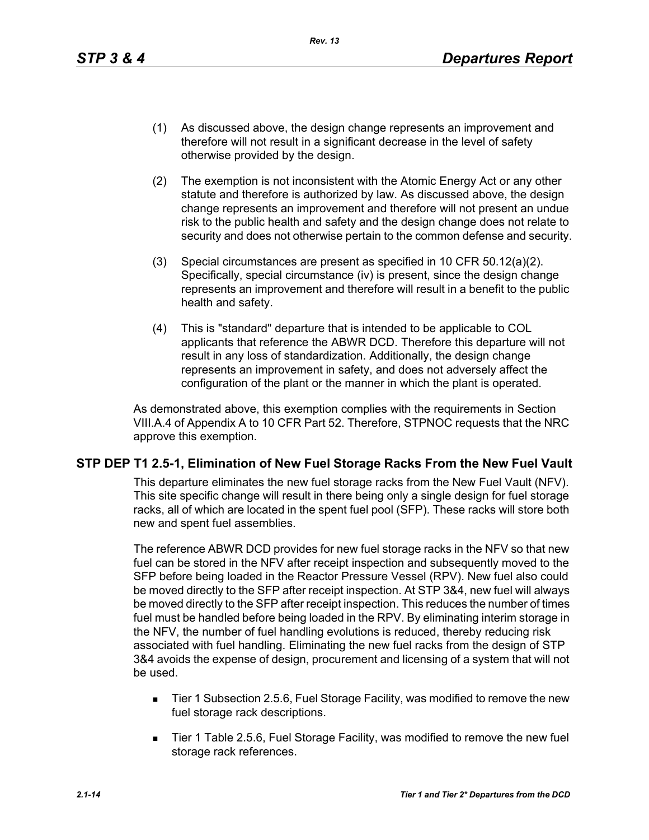- (1) As discussed above, the design change represents an improvement and therefore will not result in a significant decrease in the level of safety otherwise provided by the design.
- (2) The exemption is not inconsistent with the Atomic Energy Act or any other statute and therefore is authorized by law. As discussed above, the design change represents an improvement and therefore will not present an undue risk to the public health and safety and the design change does not relate to security and does not otherwise pertain to the common defense and security.
- (3) Special circumstances are present as specified in 10 CFR 50.12(a)(2). Specifically, special circumstance (iv) is present, since the design change represents an improvement and therefore will result in a benefit to the public health and safety.
- (4) This is "standard" departure that is intended to be applicable to COL applicants that reference the ABWR DCD. Therefore this departure will not result in any loss of standardization. Additionally, the design change represents an improvement in safety, and does not adversely affect the configuration of the plant or the manner in which the plant is operated.

As demonstrated above, this exemption complies with the requirements in Section VIII.A.4 of Appendix A to 10 CFR Part 52. Therefore, STPNOC requests that the NRC approve this exemption.

# **STP DEP T1 2.5-1, Elimination of New Fuel Storage Racks From the New Fuel Vault**

This departure eliminates the new fuel storage racks from the New Fuel Vault (NFV). This site specific change will result in there being only a single design for fuel storage racks, all of which are located in the spent fuel pool (SFP). These racks will store both new and spent fuel assemblies.

The reference ABWR DCD provides for new fuel storage racks in the NFV so that new fuel can be stored in the NFV after receipt inspection and subsequently moved to the SFP before being loaded in the Reactor Pressure Vessel (RPV). New fuel also could be moved directly to the SFP after receipt inspection. At STP 3&4, new fuel will always be moved directly to the SFP after receipt inspection. This reduces the number of times fuel must be handled before being loaded in the RPV. By eliminating interim storage in the NFV, the number of fuel handling evolutions is reduced, thereby reducing risk associated with fuel handling. Eliminating the new fuel racks from the design of STP 3&4 avoids the expense of design, procurement and licensing of a system that will not be used.

- Tier 1 Subsection 2.5.6, Fuel Storage Facility, was modified to remove the new fuel storage rack descriptions.
- Tier 1 Table 2.5.6, Fuel Storage Facility, was modified to remove the new fuel storage rack references.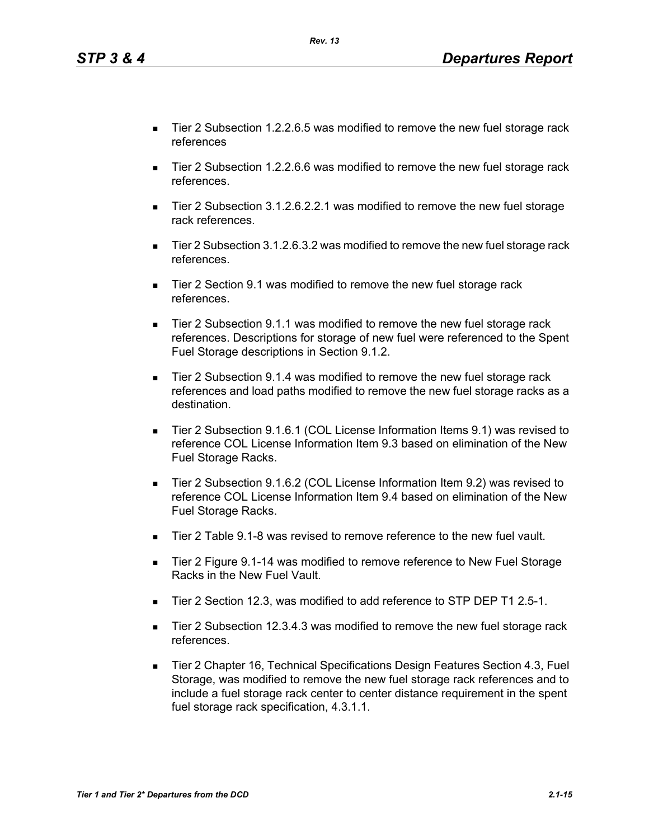■ Tier 2 Subsection 12.3.4.3 was modified to remove the new fuel storage rack references.

 Tier 2 Chapter 16, Technical Specifications Design Features Section 4.3, Fuel Storage, was modified to remove the new fuel storage rack references and to include a fuel storage rack center to center distance requirement in the spent fuel storage rack specification, 4.3.1.1.

- Tier 2 Subsection 1.2.2.6.5 was modified to remove the new fuel storage rack references
- Tier 2 Subsection 1.2.2.6.6 was modified to remove the new fuel storage rack references.
- Tier 2 Subsection 3.1.2.6.2.2.1 was modified to remove the new fuel storage rack references.
- Tier 2 Subsection 3.1.2.6.3.2 was modified to remove the new fuel storage rack references.
- Tier 2 Section 9.1 was modified to remove the new fuel storage rack references.
- Tier 2 Subsection 9.1.1 was modified to remove the new fuel storage rack references. Descriptions for storage of new fuel were referenced to the Spent Fuel Storage descriptions in Section 9.1.2.
- Tier 2 Subsection 9.1.4 was modified to remove the new fuel storage rack references and load paths modified to remove the new fuel storage racks as a destination.
- Tier 2 Subsection 9.1.6.1 (COL License Information Items 9.1) was revised to reference COL License Information Item 9.3 based on elimination of the New Fuel Storage Racks.
- Tier 2 Subsection 9.1.6.2 (COL License Information Item 9.2) was revised to reference COL License Information Item 9.4 based on elimination of the New Fuel Storage Racks.
- Tier 2 Table 9.1-8 was revised to remove reference to the new fuel vault.
- Tier 2 Figure 9.1-14 was modified to remove reference to New Fuel Storage Racks in the New Fuel Vault.
- Tier 2 Section 12.3, was modified to add reference to STP DEP T1 2.5-1.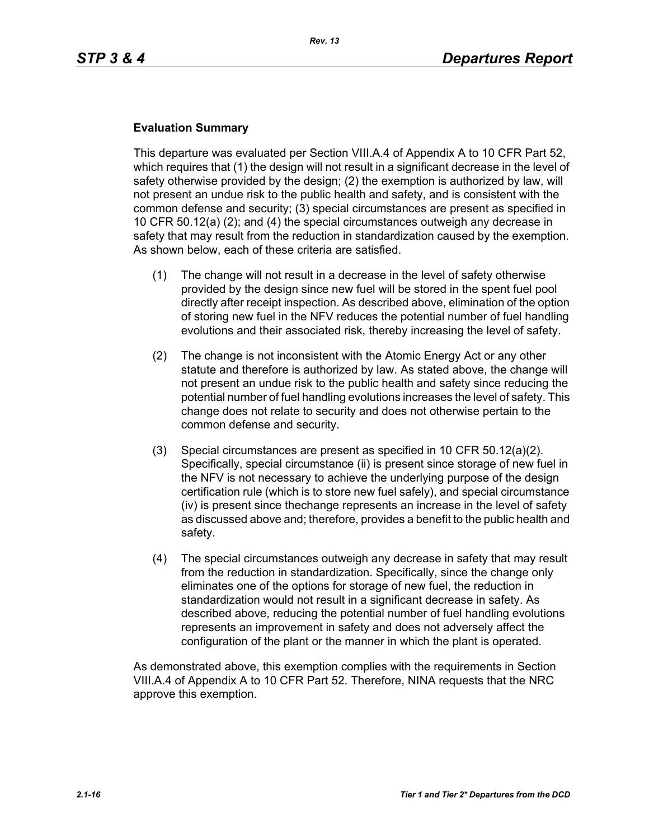#### **Evaluation Summary**

This departure was evaluated per Section VIII.A.4 of Appendix A to 10 CFR Part 52, which requires that (1) the design will not result in a significant decrease in the level of safety otherwise provided by the design; (2) the exemption is authorized by law, will not present an undue risk to the public health and safety, and is consistent with the common defense and security; (3) special circumstances are present as specified in 10 CFR 50.12(a) (2); and (4) the special circumstances outweigh any decrease in safety that may result from the reduction in standardization caused by the exemption. As shown below, each of these criteria are satisfied.

- (1) The change will not result in a decrease in the level of safety otherwise provided by the design since new fuel will be stored in the spent fuel pool directly after receipt inspection. As described above, elimination of the option of storing new fuel in the NFV reduces the potential number of fuel handling evolutions and their associated risk, thereby increasing the level of safety.
- (2) The change is not inconsistent with the Atomic Energy Act or any other statute and therefore is authorized by law. As stated above, the change will not present an undue risk to the public health and safety since reducing the potential number of fuel handling evolutions increases the level of safety. This change does not relate to security and does not otherwise pertain to the common defense and security.
- (3) Special circumstances are present as specified in 10 CFR 50.12(a)(2). Specifically, special circumstance (ii) is present since storage of new fuel in the NFV is not necessary to achieve the underlying purpose of the design certification rule (which is to store new fuel safely), and special circumstance (iv) is present since thechange represents an increase in the level of safety as discussed above and; therefore, provides a benefit to the public health and safety.
- (4) The special circumstances outweigh any decrease in safety that may result from the reduction in standardization. Specifically, since the change only eliminates one of the options for storage of new fuel, the reduction in standardization would not result in a significant decrease in safety. As described above, reducing the potential number of fuel handling evolutions represents an improvement in safety and does not adversely affect the configuration of the plant or the manner in which the plant is operated.

As demonstrated above, this exemption complies with the requirements in Section VIII.A.4 of Appendix A to 10 CFR Part 52. Therefore, NINA requests that the NRC approve this exemption.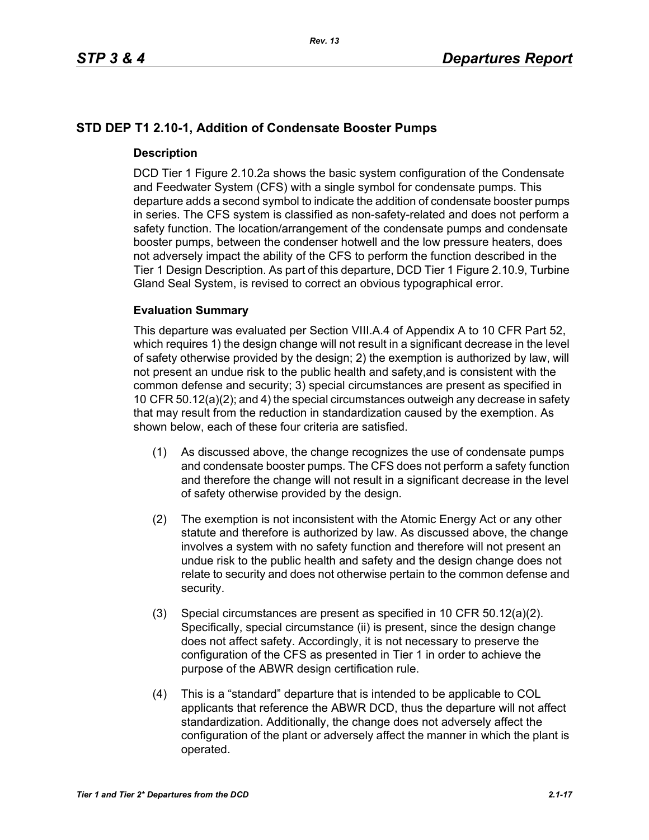# **STD DEP T1 2.10-1, Addition of Condensate Booster Pumps**

#### **Description**

DCD Tier 1 Figure 2.10.2a shows the basic system configuration of the Condensate and Feedwater System (CFS) with a single symbol for condensate pumps. This departure adds a second symbol to indicate the addition of condensate booster pumps in series. The CFS system is classified as non-safety-related and does not perform a safety function. The location/arrangement of the condensate pumps and condensate booster pumps, between the condenser hotwell and the low pressure heaters, does not adversely impact the ability of the CFS to perform the function described in the Tier 1 Design Description. As part of this departure, DCD Tier 1 Figure 2.10.9, Turbine Gland Seal System, is revised to correct an obvious typographical error.

#### **Evaluation Summary**

This departure was evaluated per Section VIII.A.4 of Appendix A to 10 CFR Part 52, which requires 1) the design change will not result in a significant decrease in the level of safety otherwise provided by the design; 2) the exemption is authorized by law, will not present an undue risk to the public health and safety,and is consistent with the common defense and security; 3) special circumstances are present as specified in 10 CFR 50.12(a)(2); and 4) the special circumstances outweigh any decrease in safety that may result from the reduction in standardization caused by the exemption. As shown below, each of these four criteria are satisfied.

- (1) As discussed above, the change recognizes the use of condensate pumps and condensate booster pumps. The CFS does not perform a safety function and therefore the change will not result in a significant decrease in the level of safety otherwise provided by the design.
- (2) The exemption is not inconsistent with the Atomic Energy Act or any other statute and therefore is authorized by law. As discussed above, the change involves a system with no safety function and therefore will not present an undue risk to the public health and safety and the design change does not relate to security and does not otherwise pertain to the common defense and security.
- (3) Special circumstances are present as specified in 10 CFR 50.12(a)(2). Specifically, special circumstance (ii) is present, since the design change does not affect safety. Accordingly, it is not necessary to preserve the configuration of the CFS as presented in Tier 1 in order to achieve the purpose of the ABWR design certification rule.
- (4) This is a "standard" departure that is intended to be applicable to COL applicants that reference the ABWR DCD, thus the departure will not affect standardization. Additionally, the change does not adversely affect the configuration of the plant or adversely affect the manner in which the plant is operated.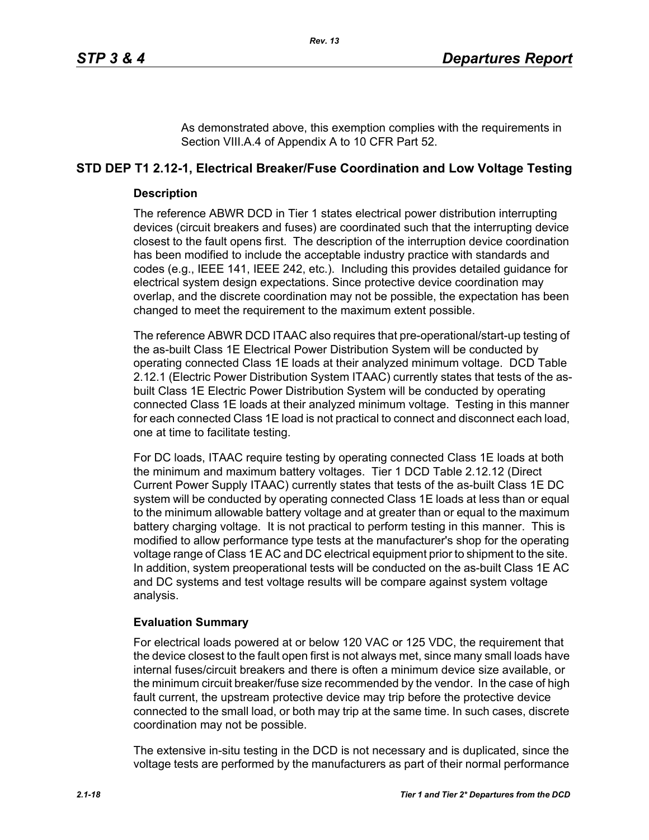As demonstrated above, this exemption complies with the requirements in Section VIII.A.4 of Appendix A to 10 CFR Part 52.

# **STD DEP T1 2.12-1, Electrical Breaker/Fuse Coordination and Low Voltage Testing**

#### **Description**

The reference ABWR DCD in Tier 1 states electrical power distribution interrupting devices (circuit breakers and fuses) are coordinated such that the interrupting device closest to the fault opens first. The description of the interruption device coordination has been modified to include the acceptable industry practice with standards and codes (e.g., IEEE 141, IEEE 242, etc.). Including this provides detailed guidance for electrical system design expectations. Since protective device coordination may overlap, and the discrete coordination may not be possible, the expectation has been changed to meet the requirement to the maximum extent possible.

The reference ABWR DCD ITAAC also requires that pre-operational/start-up testing of the as-built Class 1E Electrical Power Distribution System will be conducted by operating connected Class 1E loads at their analyzed minimum voltage. DCD Table 2.12.1 (Electric Power Distribution System ITAAC) currently states that tests of the asbuilt Class 1E Electric Power Distribution System will be conducted by operating connected Class 1E loads at their analyzed minimum voltage. Testing in this manner for each connected Class 1E load is not practical to connect and disconnect each load, one at time to facilitate testing.

For DC loads, ITAAC require testing by operating connected Class 1E loads at both the minimum and maximum battery voltages. Tier 1 DCD Table 2.12.12 (Direct Current Power Supply ITAAC) currently states that tests of the as-built Class 1E DC system will be conducted by operating connected Class 1E loads at less than or equal to the minimum allowable battery voltage and at greater than or equal to the maximum battery charging voltage. It is not practical to perform testing in this manner. This is modified to allow performance type tests at the manufacturer's shop for the operating voltage range of Class 1E AC and DC electrical equipment prior to shipment to the site. In addition, system preoperational tests will be conducted on the as-built Class 1E AC and DC systems and test voltage results will be compare against system voltage analysis.

# **Evaluation Summary**

For electrical loads powered at or below 120 VAC or 125 VDC, the requirement that the device closest to the fault open first is not always met, since many small loads have internal fuses/circuit breakers and there is often a minimum device size available, or the minimum circuit breaker/fuse size recommended by the vendor. In the case of high fault current, the upstream protective device may trip before the protective device connected to the small load, or both may trip at the same time. In such cases, discrete coordination may not be possible.

The extensive in-situ testing in the DCD is not necessary and is duplicated, since the voltage tests are performed by the manufacturers as part of their normal performance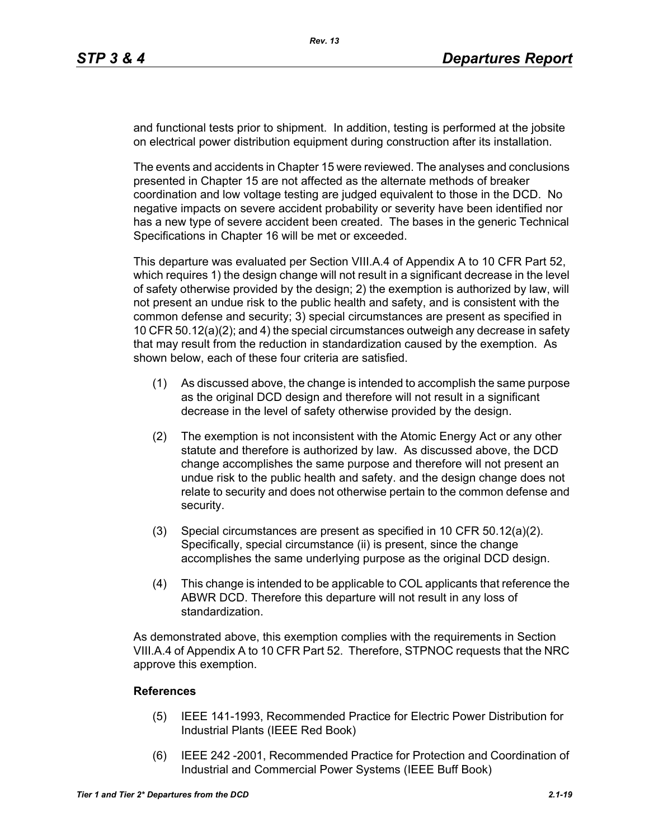and functional tests prior to shipment. In addition, testing is performed at the jobsite on electrical power distribution equipment during construction after its installation.

The events and accidents in Chapter 15 were reviewed. The analyses and conclusions presented in Chapter 15 are not affected as the alternate methods of breaker coordination and low voltage testing are judged equivalent to those in the DCD. No negative impacts on severe accident probability or severity have been identified nor has a new type of severe accident been created. The bases in the generic Technical Specifications in Chapter 16 will be met or exceeded.

This departure was evaluated per Section VIII.A.4 of Appendix A to 10 CFR Part 52, which requires 1) the design change will not result in a significant decrease in the level of safety otherwise provided by the design; 2) the exemption is authorized by law, will not present an undue risk to the public health and safety, and is consistent with the common defense and security; 3) special circumstances are present as specified in 10 CFR 50.12(a)(2); and 4) the special circumstances outweigh any decrease in safety that may result from the reduction in standardization caused by the exemption. As shown below, each of these four criteria are satisfied.

- (1) As discussed above, the change is intended to accomplish the same purpose as the original DCD design and therefore will not result in a significant decrease in the level of safety otherwise provided by the design.
- (2) The exemption is not inconsistent with the Atomic Energy Act or any other statute and therefore is authorized by law. As discussed above, the DCD change accomplishes the same purpose and therefore will not present an undue risk to the public health and safety. and the design change does not relate to security and does not otherwise pertain to the common defense and security.
- (3) Special circumstances are present as specified in 10 CFR 50.12(a)(2). Specifically, special circumstance (ii) is present, since the change accomplishes the same underlying purpose as the original DCD design.
- (4) This change is intended to be applicable to COL applicants that reference the ABWR DCD. Therefore this departure will not result in any loss of standardization.

As demonstrated above, this exemption complies with the requirements in Section VIII.A.4 of Appendix A to 10 CFR Part 52. Therefore, STPNOC requests that the NRC approve this exemption.

#### **References**

- (5) IEEE 141-1993, Recommended Practice for Electric Power Distribution for Industrial Plants (IEEE Red Book)
- (6) IEEE 242 -2001, Recommended Practice for Protection and Coordination of Industrial and Commercial Power Systems (IEEE Buff Book)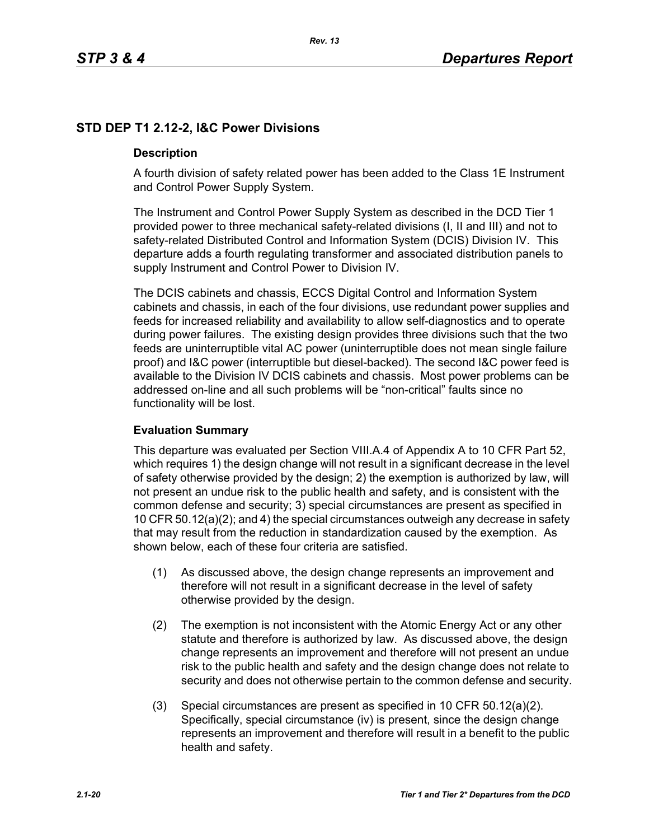# **STD DEP T1 2.12-2, I&C Power Divisions**

#### **Description**

A fourth division of safety related power has been added to the Class 1E Instrument and Control Power Supply System.

The Instrument and Control Power Supply System as described in the DCD Tier 1 provided power to three mechanical safety-related divisions (I, II and III) and not to safety-related Distributed Control and Information System (DCIS) Division IV. This departure adds a fourth regulating transformer and associated distribution panels to supply Instrument and Control Power to Division IV.

The DCIS cabinets and chassis, ECCS Digital Control and Information System cabinets and chassis, in each of the four divisions, use redundant power supplies and feeds for increased reliability and availability to allow self-diagnostics and to operate during power failures. The existing design provides three divisions such that the two feeds are uninterruptible vital AC power (uninterruptible does not mean single failure proof) and I&C power (interruptible but diesel-backed). The second I&C power feed is available to the Division IV DCIS cabinets and chassis. Most power problems can be addressed on-line and all such problems will be "non-critical" faults since no functionality will be lost.

#### **Evaluation Summary**

This departure was evaluated per Section VIII.A.4 of Appendix A to 10 CFR Part 52, which requires 1) the design change will not result in a significant decrease in the level of safety otherwise provided by the design; 2) the exemption is authorized by law, will not present an undue risk to the public health and safety, and is consistent with the common defense and security; 3) special circumstances are present as specified in 10 CFR 50.12(a)(2); and 4) the special circumstances outweigh any decrease in safety that may result from the reduction in standardization caused by the exemption. As shown below, each of these four criteria are satisfied.

- (1) As discussed above, the design change represents an improvement and therefore will not result in a significant decrease in the level of safety otherwise provided by the design.
- (2) The exemption is not inconsistent with the Atomic Energy Act or any other statute and therefore is authorized by law. As discussed above, the design change represents an improvement and therefore will not present an undue risk to the public health and safety and the design change does not relate to security and does not otherwise pertain to the common defense and security.
- (3) Special circumstances are present as specified in 10 CFR 50.12(a)(2). Specifically, special circumstance (iv) is present, since the design change represents an improvement and therefore will result in a benefit to the public health and safety.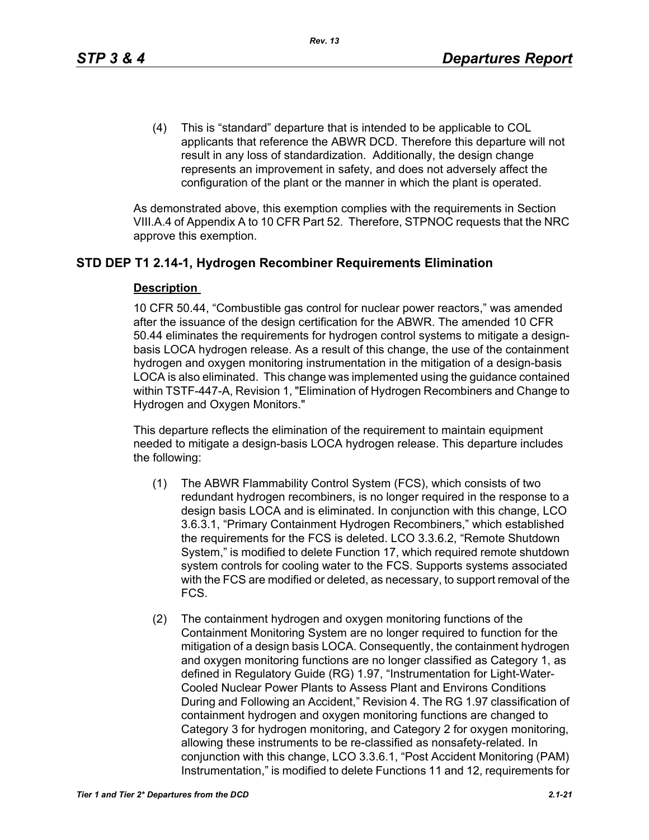(4) This is "standard" departure that is intended to be applicable to COL applicants that reference the ABWR DCD. Therefore this departure will not result in any loss of standardization. Additionally, the design change represents an improvement in safety, and does not adversely affect the configuration of the plant or the manner in which the plant is operated.

As demonstrated above, this exemption complies with the requirements in Section VIII.A.4 of Appendix A to 10 CFR Part 52. Therefore, STPNOC requests that the NRC approve this exemption.

# **STD DEP T1 2.14-1, Hydrogen Recombiner Requirements Elimination**

### **Description**

10 CFR 50.44, "Combustible gas control for nuclear power reactors," was amended after the issuance of the design certification for the ABWR. The amended 10 CFR 50.44 eliminates the requirements for hydrogen control systems to mitigate a designbasis LOCA hydrogen release. As a result of this change, the use of the containment hydrogen and oxygen monitoring instrumentation in the mitigation of a design-basis LOCA is also eliminated. This change was implemented using the guidance contained within TSTF-447-A, Revision 1, "Elimination of Hydrogen Recombiners and Change to Hydrogen and Oxygen Monitors."

This departure reflects the elimination of the requirement to maintain equipment needed to mitigate a design-basis LOCA hydrogen release. This departure includes the following:

- (1) The ABWR Flammability Control System (FCS), which consists of two redundant hydrogen recombiners, is no longer required in the response to a design basis LOCA and is eliminated. In conjunction with this change, LCO 3.6.3.1, "Primary Containment Hydrogen Recombiners," which established the requirements for the FCS is deleted. LCO 3.3.6.2, "Remote Shutdown System," is modified to delete Function 17, which required remote shutdown system controls for cooling water to the FCS. Supports systems associated with the FCS are modified or deleted, as necessary, to support removal of the FCS.
- (2) The containment hydrogen and oxygen monitoring functions of the Containment Monitoring System are no longer required to function for the mitigation of a design basis LOCA. Consequently, the containment hydrogen and oxygen monitoring functions are no longer classified as Category 1, as defined in Regulatory Guide (RG) 1.97, "Instrumentation for Light-Water-Cooled Nuclear Power Plants to Assess Plant and Environs Conditions During and Following an Accident," Revision 4. The RG 1.97 classification of containment hydrogen and oxygen monitoring functions are changed to Category 3 for hydrogen monitoring, and Category 2 for oxygen monitoring, allowing these instruments to be re-classified as nonsafety-related. In conjunction with this change, LCO 3.3.6.1, "Post Accident Monitoring (PAM) Instrumentation," is modified to delete Functions 11 and 12, requirements for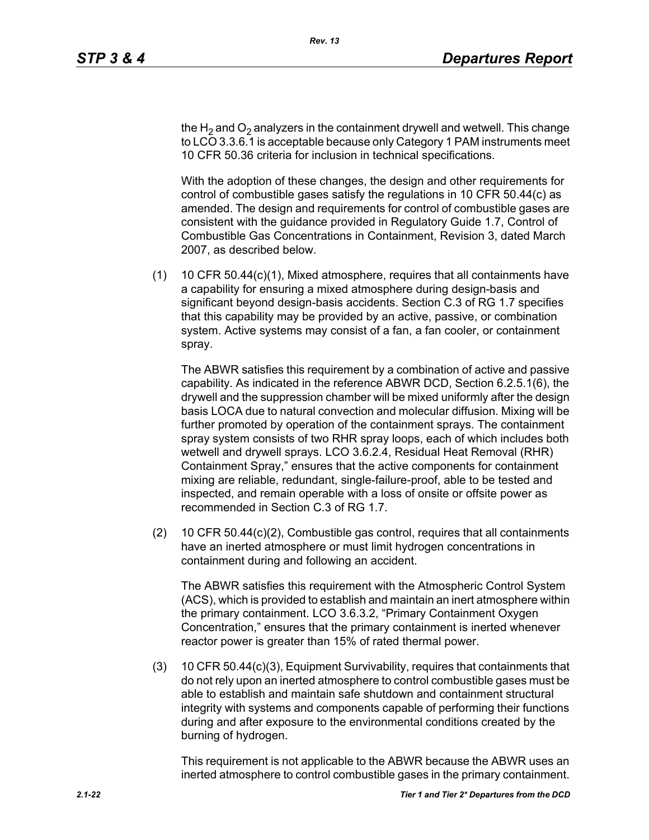the H<sub>2</sub> and O<sub>2</sub> analyzers in the containment drywell and wetwell. This change to LCO 3.3.6.1 is acceptable because only Category 1 PAM instruments meet 10 CFR 50.36 criteria for inclusion in technical specifications.

With the adoption of these changes, the design and other requirements for control of combustible gases satisfy the regulations in 10 CFR 50.44(c) as amended. The design and requirements for control of combustible gases are consistent with the guidance provided in Regulatory Guide 1.7, Control of Combustible Gas Concentrations in Containment, Revision 3, dated March 2007, as described below.

(1) 10 CFR 50.44(c)(1), Mixed atmosphere, requires that all containments have a capability for ensuring a mixed atmosphere during design-basis and significant beyond design-basis accidents. Section C.3 of RG 1.7 specifies that this capability may be provided by an active, passive, or combination system. Active systems may consist of a fan, a fan cooler, or containment spray.

The ABWR satisfies this requirement by a combination of active and passive capability. As indicated in the reference ABWR DCD, Section 6.2.5.1(6), the drywell and the suppression chamber will be mixed uniformly after the design basis LOCA due to natural convection and molecular diffusion. Mixing will be further promoted by operation of the containment sprays. The containment spray system consists of two RHR spray loops, each of which includes both wetwell and drywell sprays. LCO 3.6.2.4, Residual Heat Removal (RHR) Containment Spray," ensures that the active components for containment mixing are reliable, redundant, single-failure-proof, able to be tested and inspected, and remain operable with a loss of onsite or offsite power as recommended in Section C.3 of RG 1.7.

(2) 10 CFR 50.44(c)(2), Combustible gas control, requires that all containments have an inerted atmosphere or must limit hydrogen concentrations in containment during and following an accident.

The ABWR satisfies this requirement with the Atmospheric Control System (ACS), which is provided to establish and maintain an inert atmosphere within the primary containment. LCO 3.6.3.2, "Primary Containment Oxygen Concentration," ensures that the primary containment is inerted whenever reactor power is greater than 15% of rated thermal power.

(3) 10 CFR 50.44(c)(3), Equipment Survivability, requires that containments that do not rely upon an inerted atmosphere to control combustible gases must be able to establish and maintain safe shutdown and containment structural integrity with systems and components capable of performing their functions during and after exposure to the environmental conditions created by the burning of hydrogen.

This requirement is not applicable to the ABWR because the ABWR uses an inerted atmosphere to control combustible gases in the primary containment.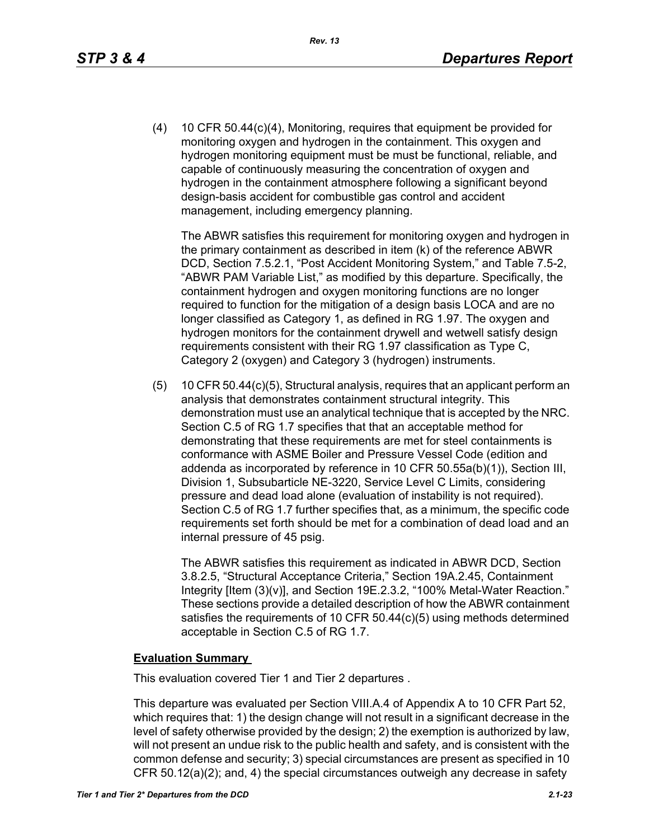(4) 10 CFR 50.44(c)(4), Monitoring, requires that equipment be provided for monitoring oxygen and hydrogen in the containment. This oxygen and hydrogen monitoring equipment must be must be functional, reliable, and capable of continuously measuring the concentration of oxygen and hydrogen in the containment atmosphere following a significant beyond design-basis accident for combustible gas control and accident management, including emergency planning.

The ABWR satisfies this requirement for monitoring oxygen and hydrogen in the primary containment as described in item (k) of the reference ABWR DCD, Section 7.5.2.1, "Post Accident Monitoring System," and Table 7.5-2, "ABWR PAM Variable List," as modified by this departure. Specifically, the containment hydrogen and oxygen monitoring functions are no longer required to function for the mitigation of a design basis LOCA and are no longer classified as Category 1, as defined in RG 1.97. The oxygen and hydrogen monitors for the containment drywell and wetwell satisfy design requirements consistent with their RG 1.97 classification as Type C, Category 2 (oxygen) and Category 3 (hydrogen) instruments.

(5) 10 CFR 50.44(c)(5), Structural analysis, requires that an applicant perform an analysis that demonstrates containment structural integrity. This demonstration must use an analytical technique that is accepted by the NRC. Section C.5 of RG 1.7 specifies that that an acceptable method for demonstrating that these requirements are met for steel containments is conformance with ASME Boiler and Pressure Vessel Code (edition and addenda as incorporated by reference in 10 CFR 50.55a(b)(1)), Section III, Division 1, Subsubarticle NE-3220, Service Level C Limits, considering pressure and dead load alone (evaluation of instability is not required). Section C.5 of RG 1.7 further specifies that, as a minimum, the specific code requirements set forth should be met for a combination of dead load and an internal pressure of 45 psig.

The ABWR satisfies this requirement as indicated in ABWR DCD, Section 3.8.2.5, "Structural Acceptance Criteria," Section 19A.2.45, Containment Integrity [Item (3)(v)], and Section 19E.2.3.2, "100% Metal-Water Reaction." These sections provide a detailed description of how the ABWR containment satisfies the requirements of 10 CFR 50.44(c)(5) using methods determined acceptable in Section C.5 of RG 1.7.

#### **Evaluation Summary**

This evaluation covered Tier 1 and Tier 2 departures .

This departure was evaluated per Section VIII.A.4 of Appendix A to 10 CFR Part 52, which requires that: 1) the design change will not result in a significant decrease in the level of safety otherwise provided by the design; 2) the exemption is authorized by law, will not present an undue risk to the public health and safety, and is consistent with the common defense and security; 3) special circumstances are present as specified in 10 CFR 50.12(a)(2); and, 4) the special circumstances outweigh any decrease in safety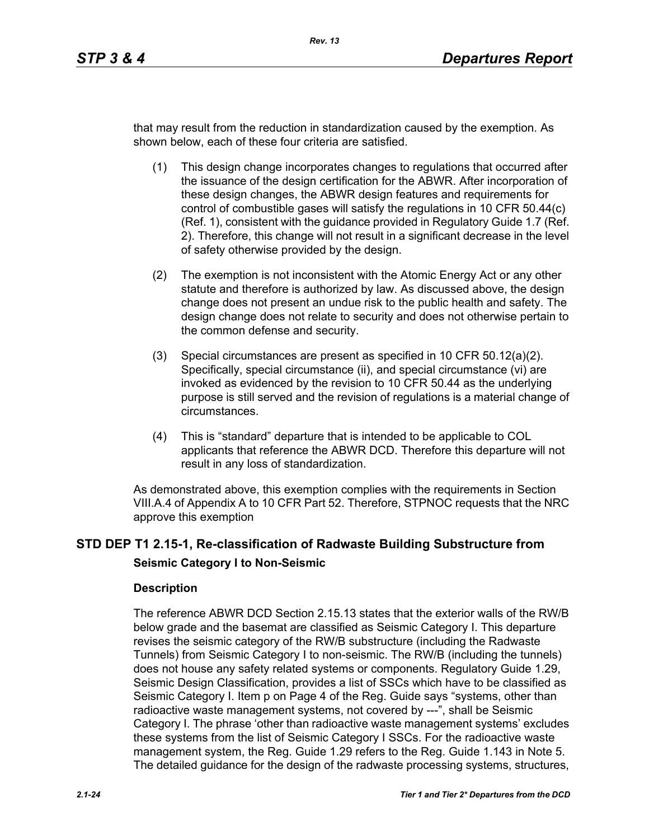that may result from the reduction in standardization caused by the exemption. As shown below, each of these four criteria are satisfied.

- (1) This design change incorporates changes to regulations that occurred after the issuance of the design certification for the ABWR. After incorporation of these design changes, the ABWR design features and requirements for control of combustible gases will satisfy the regulations in 10 CFR 50.44(c) (Ref. 1), consistent with the guidance provided in Regulatory Guide 1.7 (Ref. 2). Therefore, this change will not result in a significant decrease in the level of safety otherwise provided by the design.
- (2) The exemption is not inconsistent with the Atomic Energy Act or any other statute and therefore is authorized by law. As discussed above, the design change does not present an undue risk to the public health and safety. The design change does not relate to security and does not otherwise pertain to the common defense and security.
- (3) Special circumstances are present as specified in 10 CFR 50.12(a)(2). Specifically, special circumstance (ii), and special circumstance (vi) are invoked as evidenced by the revision to 10 CFR 50.44 as the underlying purpose is still served and the revision of regulations is a material change of circumstances.
- (4) This is "standard" departure that is intended to be applicable to COL applicants that reference the ABWR DCD. Therefore this departure will not result in any loss of standardization.

As demonstrated above, this exemption complies with the requirements in Section VIII.A.4 of Appendix A to 10 CFR Part 52. Therefore, STPNOC requests that the NRC approve this exemption

# **STD DEP T1 2.15-1, Re-classification of Radwaste Building Substructure from Seismic Category I to Non-Seismic**

#### **Description**

The reference ABWR DCD Section 2.15.13 states that the exterior walls of the RW/B below grade and the basemat are classified as Seismic Category I. This departure revises the seismic category of the RW/B substructure (including the Radwaste Tunnels) from Seismic Category I to non-seismic. The RW/B (including the tunnels) does not house any safety related systems or components. Regulatory Guide 1.29, Seismic Design Classification, provides a list of SSCs which have to be classified as Seismic Category I. Item p on Page 4 of the Reg. Guide says "systems, other than radioactive waste management systems, not covered by ---", shall be Seismic Category I. The phrase 'other than radioactive waste management systems' excludes these systems from the list of Seismic Category I SSCs. For the radioactive waste management system, the Reg. Guide 1.29 refers to the Reg. Guide 1.143 in Note 5. The detailed guidance for the design of the radwaste processing systems, structures,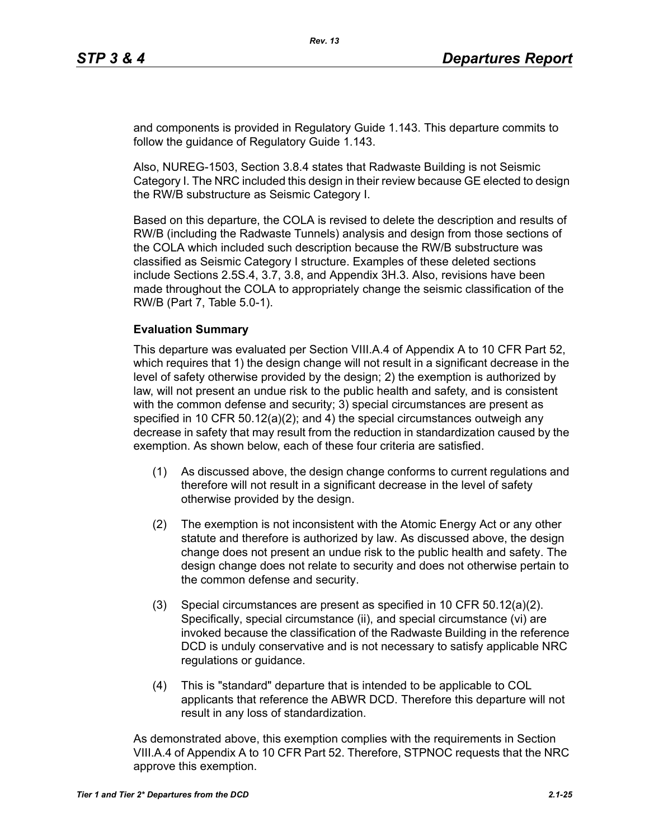and components is provided in Regulatory Guide 1.143. This departure commits to follow the guidance of Regulatory Guide 1.143.

Also, NUREG-1503, Section 3.8.4 states that Radwaste Building is not Seismic Category I. The NRC included this design in their review because GE elected to design the RW/B substructure as Seismic Category I.

Based on this departure, the COLA is revised to delete the description and results of RW/B (including the Radwaste Tunnels) analysis and design from those sections of the COLA which included such description because the RW/B substructure was classified as Seismic Category I structure. Examples of these deleted sections include Sections 2.5S.4, 3.7, 3.8, and Appendix 3H.3. Also, revisions have been made throughout the COLA to appropriately change the seismic classification of the RW/B (Part 7, Table 5.0-1).

### **Evaluation Summary**

This departure was evaluated per Section VIII.A.4 of Appendix A to 10 CFR Part 52, which requires that 1) the design change will not result in a significant decrease in the level of safety otherwise provided by the design; 2) the exemption is authorized by law, will not present an undue risk to the public health and safety, and is consistent with the common defense and security; 3) special circumstances are present as specified in 10 CFR 50.12(a)(2); and 4) the special circumstances outweigh any decrease in safety that may result from the reduction in standardization caused by the exemption. As shown below, each of these four criteria are satisfied.

- (1) As discussed above, the design change conforms to current regulations and therefore will not result in a significant decrease in the level of safety otherwise provided by the design.
- (2) The exemption is not inconsistent with the Atomic Energy Act or any other statute and therefore is authorized by law. As discussed above, the design change does not present an undue risk to the public health and safety. The design change does not relate to security and does not otherwise pertain to the common defense and security.
- (3) Special circumstances are present as specified in 10 CFR 50.12(a)(2). Specifically, special circumstance (ii), and special circumstance (vi) are invoked because the classification of the Radwaste Building in the reference DCD is unduly conservative and is not necessary to satisfy applicable NRC regulations or guidance.
- (4) This is "standard" departure that is intended to be applicable to COL applicants that reference the ABWR DCD. Therefore this departure will not result in any loss of standardization.

As demonstrated above, this exemption complies with the requirements in Section VIII.A.4 of Appendix A to 10 CFR Part 52. Therefore, STPNOC requests that the NRC approve this exemption.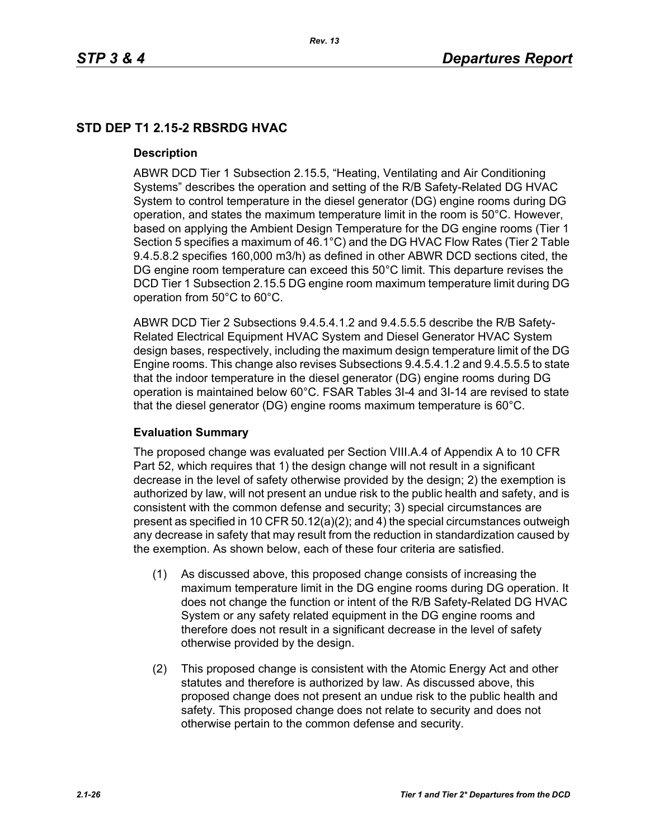# **STD DEP T1 2.15-2 RBSRDG HVAC**

#### **Description**

ABWR DCD Tier 1 Subsection 2.15.5, "Heating, Ventilating and Air Conditioning Systems" describes the operation and setting of the R/B Safety-Related DG HVAC System to control temperature in the diesel generator (DG) engine rooms during DG operation, and states the maximum temperature limit in the room is 50°C. However, based on applying the Ambient Design Temperature for the DG engine rooms (Tier 1 Section 5 specifies a maximum of 46.1°C) and the DG HVAC Flow Rates (Tier 2 Table 9.4.5.8.2 specifies 160,000 m3/h) as defined in other ABWR DCD sections cited, the DG engine room temperature can exceed this 50°C limit. This departure revises the DCD Tier 1 Subsection 2.15.5 DG engine room maximum temperature limit during DG operation from 50°C to 60°C.

ABWR DCD Tier 2 Subsections 9.4.5.4.1.2 and 9.4.5.5.5 describe the R/B Safety-Related Electrical Equipment HVAC System and Diesel Generator HVAC System design bases, respectively, including the maximum design temperature limit of the DG Engine rooms. This change also revises Subsections 9.4.5.4.1.2 and 9.4.5.5.5 to state that the indoor temperature in the diesel generator (DG) engine rooms during DG operation is maintained below 60°C. FSAR Tables 3I-4 and 3I-14 are revised to state that the diesel generator (DG) engine rooms maximum temperature is 60°C.

# **Evaluation Summary**

The proposed change was evaluated per Section VIII.A.4 of Appendix A to 10 CFR Part 52, which requires that 1) the design change will not result in a significant decrease in the level of safety otherwise provided by the design; 2) the exemption is authorized by law, will not present an undue risk to the public health and safety, and is consistent with the common defense and security; 3) special circumstances are present as specified in 10 CFR 50.12(a)(2); and 4) the special circumstances outweigh any decrease in safety that may result from the reduction in standardization caused by the exemption. As shown below, each of these four criteria are satisfied.

- (1) As discussed above, this proposed change consists of increasing the maximum temperature limit in the DG engine rooms during DG operation. It does not change the function or intent of the R/B Safety-Related DG HVAC System or any safety related equipment in the DG engine rooms and therefore does not result in a significant decrease in the level of safety otherwise provided by the design.
- (2) This proposed change is consistent with the Atomic Energy Act and other statutes and therefore is authorized by law. As discussed above, this proposed change does not present an undue risk to the public health and safety. This proposed change does not relate to security and does not otherwise pertain to the common defense and security.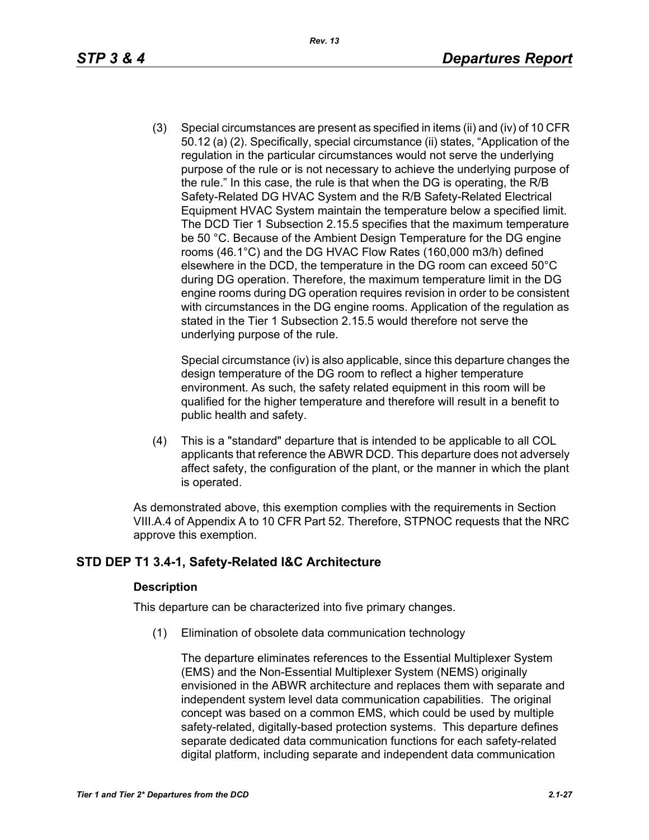(3) Special circumstances are present as specified in items (ii) and (iv) of 10 CFR 50.12 (a) (2). Specifically, special circumstance (ii) states, "Application of the regulation in the particular circumstances would not serve the underlying purpose of the rule or is not necessary to achieve the underlying purpose of the rule." In this case, the rule is that when the DG is operating, the R/B Safety-Related DG HVAC System and the R/B Safety-Related Electrical Equipment HVAC System maintain the temperature below a specified limit. The DCD Tier 1 Subsection 2.15.5 specifies that the maximum temperature be 50 °C. Because of the Ambient Design Temperature for the DG engine rooms (46.1°C) and the DG HVAC Flow Rates (160,000 m3/h) defined elsewhere in the DCD, the temperature in the DG room can exceed 50°C during DG operation. Therefore, the maximum temperature limit in the DG engine rooms during DG operation requires revision in order to be consistent with circumstances in the DG engine rooms. Application of the regulation as stated in the Tier 1 Subsection 2.15.5 would therefore not serve the underlying purpose of the rule.

Special circumstance (iv) is also applicable, since this departure changes the design temperature of the DG room to reflect a higher temperature environment. As such, the safety related equipment in this room will be qualified for the higher temperature and therefore will result in a benefit to public health and safety.

(4) This is a "standard" departure that is intended to be applicable to all COL applicants that reference the ABWR DCD. This departure does not adversely affect safety, the configuration of the plant, or the manner in which the plant is operated.

As demonstrated above, this exemption complies with the requirements in Section VIII.A.4 of Appendix A to 10 CFR Part 52. Therefore, STPNOC requests that the NRC approve this exemption.

# **STD DEP T1 3.4-1, Safety-Related I&C Architecture**

#### **Description**

This departure can be characterized into five primary changes.

(1) Elimination of obsolete data communication technology

The departure eliminates references to the Essential Multiplexer System (EMS) and the Non-Essential Multiplexer System (NEMS) originally envisioned in the ABWR architecture and replaces them with separate and independent system level data communication capabilities. The original concept was based on a common EMS, which could be used by multiple safety-related, digitally-based protection systems. This departure defines separate dedicated data communication functions for each safety-related digital platform, including separate and independent data communication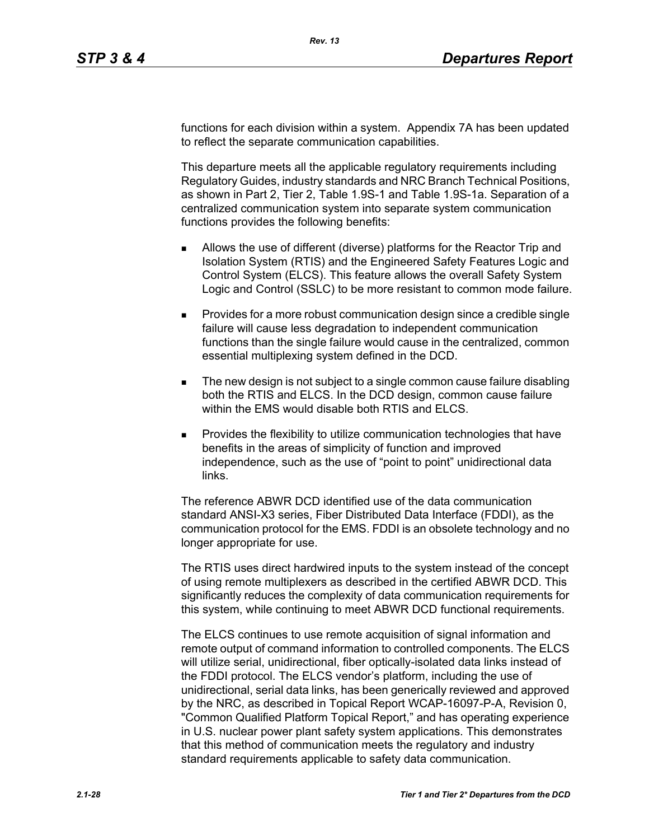functions for each division within a system. Appendix 7A has been updated to reflect the separate communication capabilities.

This departure meets all the applicable regulatory requirements including Regulatory Guides, industry standards and NRC Branch Technical Positions, as shown in Part 2, Tier 2, Table 1.9S-1 and Table 1.9S-1a. Separation of a centralized communication system into separate system communication functions provides the following benefits:

- Allows the use of different (diverse) platforms for the Reactor Trip and Isolation System (RTIS) and the Engineered Safety Features Logic and Control System (ELCS). This feature allows the overall Safety System Logic and Control (SSLC) to be more resistant to common mode failure.
- **Provides for a more robust communication design since a credible single** failure will cause less degradation to independent communication functions than the single failure would cause in the centralized, common essential multiplexing system defined in the DCD.
- The new design is not subject to a single common cause failure disabling both the RTIS and ELCS. In the DCD design, common cause failure within the EMS would disable both RTIS and ELCS.
- Provides the flexibility to utilize communication technologies that have benefits in the areas of simplicity of function and improved independence, such as the use of "point to point" unidirectional data links.

The reference ABWR DCD identified use of the data communication standard ANSI-X3 series, Fiber Distributed Data Interface (FDDI), as the communication protocol for the EMS. FDDI is an obsolete technology and no longer appropriate for use.

The RTIS uses direct hardwired inputs to the system instead of the concept of using remote multiplexers as described in the certified ABWR DCD. This significantly reduces the complexity of data communication requirements for this system, while continuing to meet ABWR DCD functional requirements.

The ELCS continues to use remote acquisition of signal information and remote output of command information to controlled components. The ELCS will utilize serial, unidirectional, fiber optically-isolated data links instead of the FDDI protocol. The ELCS vendor's platform, including the use of unidirectional, serial data links, has been generically reviewed and approved by the NRC, as described in Topical Report WCAP-16097-P-A, Revision 0, "Common Qualified Platform Topical Report," and has operating experience in U.S. nuclear power plant safety system applications. This demonstrates that this method of communication meets the regulatory and industry standard requirements applicable to safety data communication.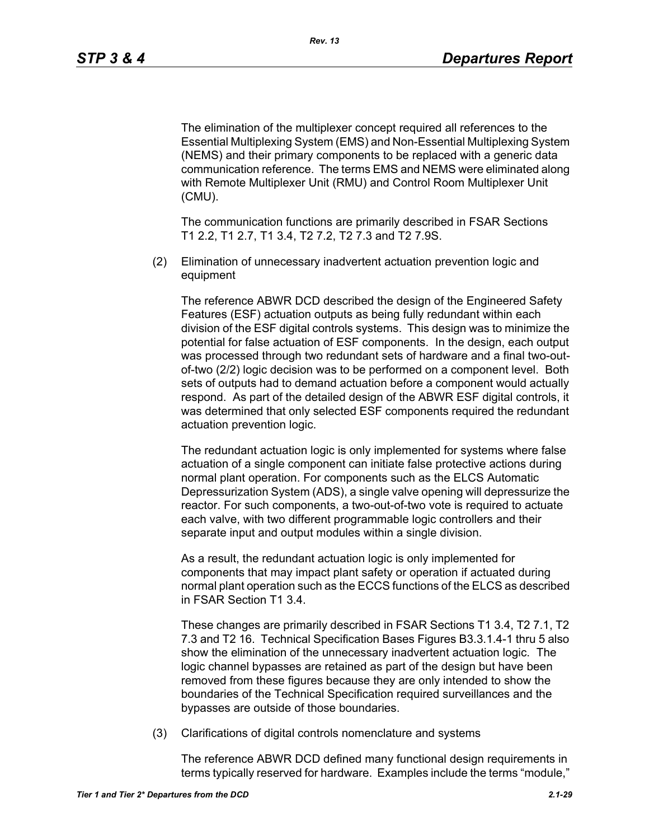The elimination of the multiplexer concept required all references to the Essential Multiplexing System (EMS) and Non-Essential Multiplexing System (NEMS) and their primary components to be replaced with a generic data communication reference. The terms EMS and NEMS were eliminated along with Remote Multiplexer Unit (RMU) and Control Room Multiplexer Unit (CMU).

The communication functions are primarily described in FSAR Sections T1 2.2, T1 2.7, T1 3.4, T2 7.2, T2 7.3 and T2 7.9S.

(2) Elimination of unnecessary inadvertent actuation prevention logic and equipment

The reference ABWR DCD described the design of the Engineered Safety Features (ESF) actuation outputs as being fully redundant within each division of the ESF digital controls systems. This design was to minimize the potential for false actuation of ESF components. In the design, each output was processed through two redundant sets of hardware and a final two-outof-two (2/2) logic decision was to be performed on a component level. Both sets of outputs had to demand actuation before a component would actually respond. As part of the detailed design of the ABWR ESF digital controls, it was determined that only selected ESF components required the redundant actuation prevention logic.

The redundant actuation logic is only implemented for systems where false actuation of a single component can initiate false protective actions during normal plant operation. For components such as the ELCS Automatic Depressurization System (ADS), a single valve opening will depressurize the reactor. For such components, a two-out-of-two vote is required to actuate each valve, with two different programmable logic controllers and their separate input and output modules within a single division.

As a result, the redundant actuation logic is only implemented for components that may impact plant safety or operation if actuated during normal plant operation such as the ECCS functions of the ELCS as described in FSAR Section T1 3.4.

These changes are primarily described in FSAR Sections T1 3.4, T2 7.1, T2 7.3 and T2 16. Technical Specification Bases Figures B3.3.1.4-1 thru 5 also show the elimination of the unnecessary inadvertent actuation logic. The logic channel bypasses are retained as part of the design but have been removed from these figures because they are only intended to show the boundaries of the Technical Specification required surveillances and the bypasses are outside of those boundaries.

(3) Clarifications of digital controls nomenclature and systems

The reference ABWR DCD defined many functional design requirements in terms typically reserved for hardware. Examples include the terms "module,"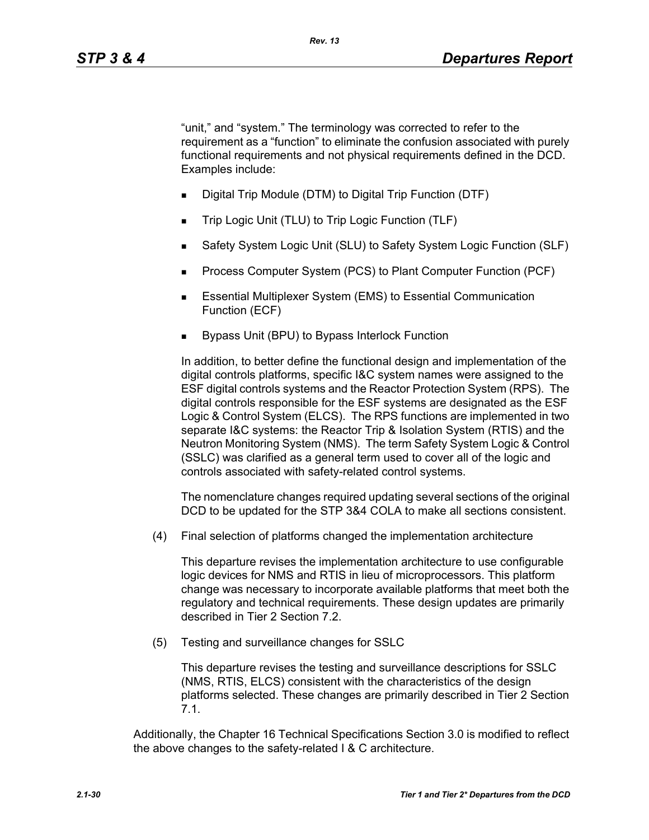"unit," and "system." The terminology was corrected to refer to the requirement as a "function" to eliminate the confusion associated with purely functional requirements and not physical requirements defined in the DCD. Examples include:

- Digital Trip Module (DTM) to Digital Trip Function (DTF)
- Trip Logic Unit (TLU) to Trip Logic Function (TLF)
- Safety System Logic Unit (SLU) to Safety System Logic Function (SLF)
- Process Computer System (PCS) to Plant Computer Function (PCF)
- **Essential Multiplexer System (EMS) to Essential Communication** Function (ECF)
- Bypass Unit (BPU) to Bypass Interlock Function

In addition, to better define the functional design and implementation of the digital controls platforms, specific I&C system names were assigned to the ESF digital controls systems and the Reactor Protection System (RPS). The digital controls responsible for the ESF systems are designated as the ESF Logic & Control System (ELCS). The RPS functions are implemented in two separate I&C systems: the Reactor Trip & Isolation System (RTIS) and the Neutron Monitoring System (NMS). The term Safety System Logic & Control (SSLC) was clarified as a general term used to cover all of the logic and controls associated with safety-related control systems.

The nomenclature changes required updating several sections of the original DCD to be updated for the STP 3&4 COLA to make all sections consistent.

(4) Final selection of platforms changed the implementation architecture

This departure revises the implementation architecture to use configurable logic devices for NMS and RTIS in lieu of microprocessors. This platform change was necessary to incorporate available platforms that meet both the regulatory and technical requirements. These design updates are primarily described in Tier 2 Section 7.2.

(5) Testing and surveillance changes for SSLC

This departure revises the testing and surveillance descriptions for SSLC (NMS, RTIS, ELCS) consistent with the characteristics of the design platforms selected. These changes are primarily described in Tier 2 Section 7.1.

Additionally, the Chapter 16 Technical Specifications Section 3.0 is modified to reflect the above changes to the safety-related I & C architecture.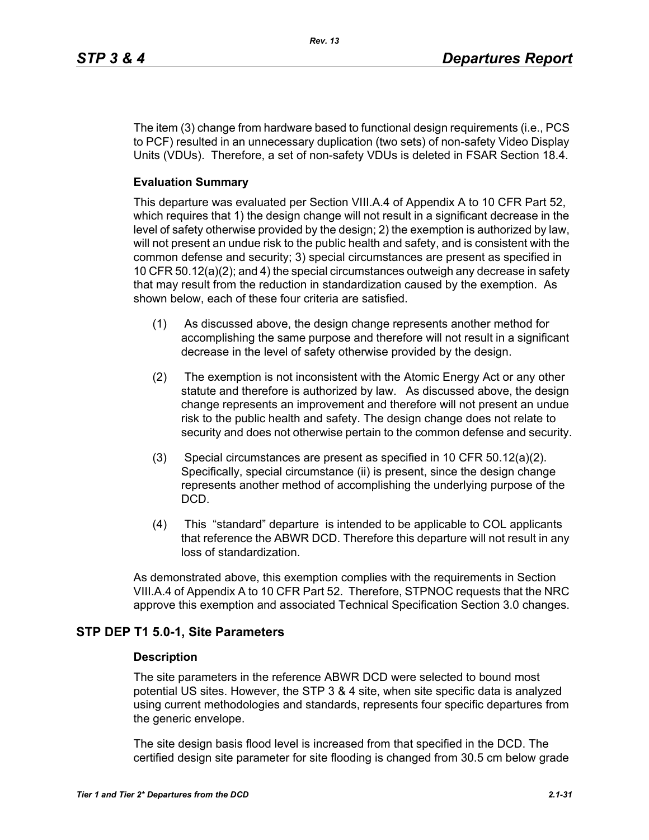The item (3) change from hardware based to functional design requirements (i.e., PCS to PCF) resulted in an unnecessary duplication (two sets) of non-safety Video Display Units (VDUs). Therefore, a set of non-safety VDUs is deleted in FSAR Section 18.4.

### **Evaluation Summary**

This departure was evaluated per Section VIII.A.4 of Appendix A to 10 CFR Part 52, which requires that 1) the design change will not result in a significant decrease in the level of safety otherwise provided by the design; 2) the exemption is authorized by law, will not present an undue risk to the public health and safety, and is consistent with the common defense and security; 3) special circumstances are present as specified in 10 CFR 50.12(a)(2); and 4) the special circumstances outweigh any decrease in safety that may result from the reduction in standardization caused by the exemption. As shown below, each of these four criteria are satisfied.

- (1) As discussed above, the design change represents another method for accomplishing the same purpose and therefore will not result in a significant decrease in the level of safety otherwise provided by the design.
- (2) The exemption is not inconsistent with the Atomic Energy Act or any other statute and therefore is authorized by law. As discussed above, the design change represents an improvement and therefore will not present an undue risk to the public health and safety. The design change does not relate to security and does not otherwise pertain to the common defense and security.
- (3) Special circumstances are present as specified in 10 CFR 50.12(a)(2). Specifically, special circumstance (ii) is present, since the design change represents another method of accomplishing the underlying purpose of the DCD.
- (4) This "standard" departure is intended to be applicable to COL applicants that reference the ABWR DCD. Therefore this departure will not result in any loss of standardization.

As demonstrated above, this exemption complies with the requirements in Section VIII.A.4 of Appendix A to 10 CFR Part 52. Therefore, STPNOC requests that the NRC approve this exemption and associated Technical Specification Section 3.0 changes.

# **STP DEP T1 5.0-1, Site Parameters**

#### **Description**

The site parameters in the reference ABWR DCD were selected to bound most potential US sites. However, the STP 3 & 4 site, when site specific data is analyzed using current methodologies and standards, represents four specific departures from the generic envelope.

The site design basis flood level is increased from that specified in the DCD. The certified design site parameter for site flooding is changed from 30.5 cm below grade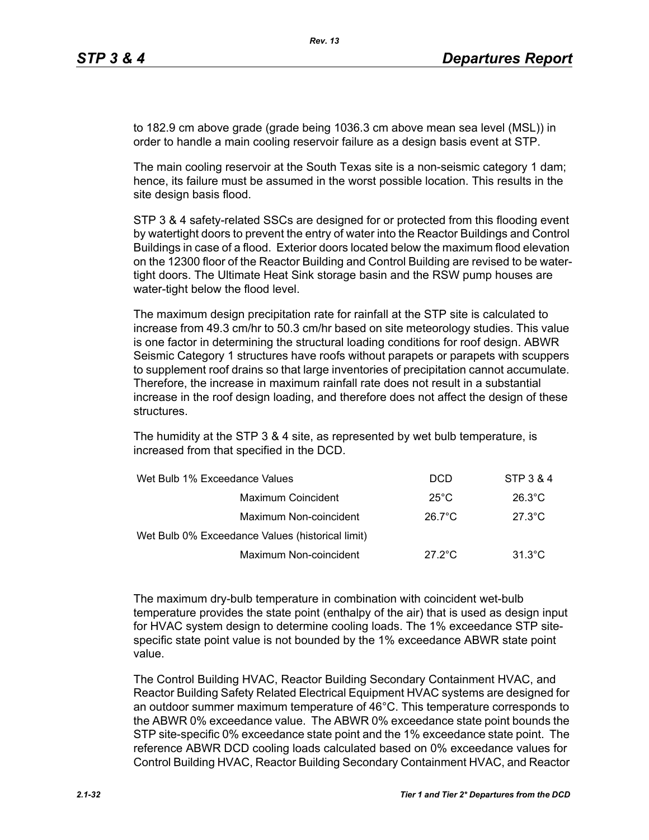to 182.9 cm above grade (grade being 1036.3 cm above mean sea level (MSL)) in order to handle a main cooling reservoir failure as a design basis event at STP.

*Rev. 13*

The main cooling reservoir at the South Texas site is a non-seismic category 1 dam; hence, its failure must be assumed in the worst possible location. This results in the site design basis flood.

STP 3 & 4 safety-related SSCs are designed for or protected from this flooding event by watertight doors to prevent the entry of water into the Reactor Buildings and Control Buildings in case of a flood. Exterior doors located below the maximum flood elevation on the 12300 floor of the Reactor Building and Control Building are revised to be watertight doors. The Ultimate Heat Sink storage basin and the RSW pump houses are water-tight below the flood level.

The maximum design precipitation rate for rainfall at the STP site is calculated to increase from 49.3 cm/hr to 50.3 cm/hr based on site meteorology studies. This value is one factor in determining the structural loading conditions for roof design. ABWR Seismic Category 1 structures have roofs without parapets or parapets with scuppers to supplement roof drains so that large inventories of precipitation cannot accumulate. Therefore, the increase in maximum rainfall rate does not result in a substantial increase in the roof design loading, and therefore does not affect the design of these structures.

The humidity at the STP 3 & 4 site, as represented by wet bulb temperature, is increased from that specified in the DCD.

| Wet Bulb 1% Exceedance Values                    | <b>DCD</b>       | STP 3 & 4        |
|--------------------------------------------------|------------------|------------------|
| Maximum Coincident                               | $25^{\circ}$ C   | $26.3^{\circ}$ C |
| Maximum Non-coincident                           | $26.7^{\circ}$ C | $27.3^{\circ}$ C |
| Wet Bulb 0% Exceedance Values (historical limit) |                  |                  |
| Maximum Non-coincident                           | $27.2^{\circ}$ C | $31.3^{\circ}$ C |

The maximum dry-bulb temperature in combination with coincident wet-bulb temperature provides the state point (enthalpy of the air) that is used as design input for HVAC system design to determine cooling loads. The 1% exceedance STP sitespecific state point value is not bounded by the 1% exceedance ABWR state point value.

The Control Building HVAC, Reactor Building Secondary Containment HVAC, and Reactor Building Safety Related Electrical Equipment HVAC systems are designed for an outdoor summer maximum temperature of 46°C. This temperature corresponds to the ABWR 0% exceedance value. The ABWR 0% exceedance state point bounds the STP site-specific 0% exceedance state point and the 1% exceedance state point. The reference ABWR DCD cooling loads calculated based on 0% exceedance values for Control Building HVAC, Reactor Building Secondary Containment HVAC, and Reactor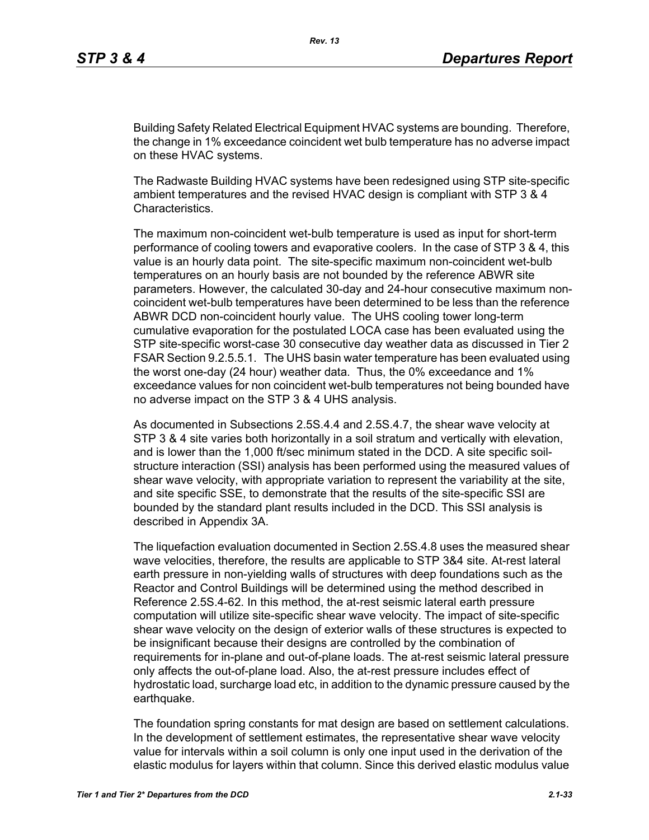Building Safety Related Electrical Equipment HVAC systems are bounding. Therefore, the change in 1% exceedance coincident wet bulb temperature has no adverse impact on these HVAC systems.

The Radwaste Building HVAC systems have been redesigned using STP site-specific ambient temperatures and the revised HVAC design is compliant with STP 3 & 4 Characteristics.

The maximum non-coincident wet-bulb temperature is used as input for short-term performance of cooling towers and evaporative coolers. In the case of STP 3 & 4, this value is an hourly data point. The site-specific maximum non-coincident wet-bulb temperatures on an hourly basis are not bounded by the reference ABWR site parameters. However, the calculated 30-day and 24-hour consecutive maximum noncoincident wet-bulb temperatures have been determined to be less than the reference ABWR DCD non-coincident hourly value. The UHS cooling tower long-term cumulative evaporation for the postulated LOCA case has been evaluated using the STP site-specific worst-case 30 consecutive day weather data as discussed in Tier 2 FSAR Section 9.2.5.5.1. The UHS basin water temperature has been evaluated using the worst one-day (24 hour) weather data. Thus, the 0% exceedance and 1% exceedance values for non coincident wet-bulb temperatures not being bounded have no adverse impact on the STP 3 & 4 UHS analysis.

As documented in Subsections 2.5S.4.4 and 2.5S.4.7, the shear wave velocity at STP 3 & 4 site varies both horizontally in a soil stratum and vertically with elevation, and is lower than the 1,000 ft/sec minimum stated in the DCD. A site specific soilstructure interaction (SSI) analysis has been performed using the measured values of shear wave velocity, with appropriate variation to represent the variability at the site, and site specific SSE, to demonstrate that the results of the site-specific SSI are bounded by the standard plant results included in the DCD. This SSI analysis is described in Appendix 3A.

The liquefaction evaluation documented in Section 2.5S.4.8 uses the measured shear wave velocities, therefore, the results are applicable to STP 3&4 site. At-rest lateral earth pressure in non-yielding walls of structures with deep foundations such as the Reactor and Control Buildings will be determined using the method described in Reference 2.5S.4-62. In this method, the at-rest seismic lateral earth pressure computation will utilize site-specific shear wave velocity. The impact of site-specific shear wave velocity on the design of exterior walls of these structures is expected to be insignificant because their designs are controlled by the combination of requirements for in-plane and out-of-plane loads. The at-rest seismic lateral pressure only affects the out-of-plane load. Also, the at-rest pressure includes effect of hydrostatic load, surcharge load etc, in addition to the dynamic pressure caused by the earthquake.

The foundation spring constants for mat design are based on settlement calculations. In the development of settlement estimates, the representative shear wave velocity value for intervals within a soil column is only one input used in the derivation of the elastic modulus for layers within that column. Since this derived elastic modulus value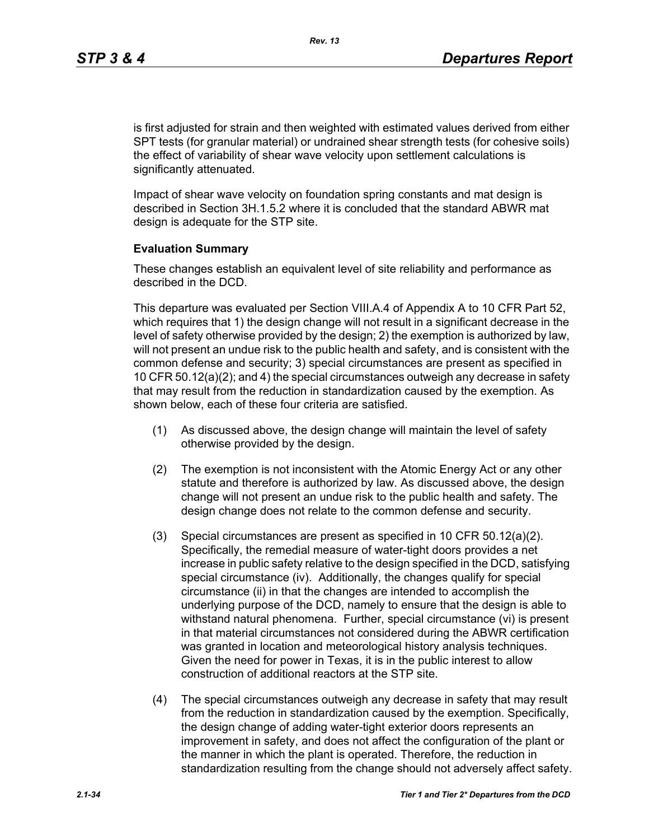is first adjusted for strain and then weighted with estimated values derived from either SPT tests (for granular material) or undrained shear strength tests (for cohesive soils) the effect of variability of shear wave velocity upon settlement calculations is significantly attenuated.

Impact of shear wave velocity on foundation spring constants and mat design is described in Section 3H.1.5.2 where it is concluded that the standard ABWR mat design is adequate for the STP site.

#### **Evaluation Summary**

These changes establish an equivalent level of site reliability and performance as described in the DCD.

This departure was evaluated per Section VIII.A.4 of Appendix A to 10 CFR Part 52, which requires that 1) the design change will not result in a significant decrease in the level of safety otherwise provided by the design; 2) the exemption is authorized by law, will not present an undue risk to the public health and safety, and is consistent with the common defense and security; 3) special circumstances are present as specified in 10 CFR 50.12(a)(2); and 4) the special circumstances outweigh any decrease in safety that may result from the reduction in standardization caused by the exemption. As shown below, each of these four criteria are satisfied.

- (1) As discussed above, the design change will maintain the level of safety otherwise provided by the design.
- (2) The exemption is not inconsistent with the Atomic Energy Act or any other statute and therefore is authorized by law. As discussed above, the design change will not present an undue risk to the public health and safety. The design change does not relate to the common defense and security.
- (3) Special circumstances are present as specified in 10 CFR 50.12(a)(2). Specifically, the remedial measure of water-tight doors provides a net increase in public safety relative to the design specified in the DCD, satisfying special circumstance (iv). Additionally, the changes qualify for special circumstance (ii) in that the changes are intended to accomplish the underlying purpose of the DCD, namely to ensure that the design is able to withstand natural phenomena. Further, special circumstance (vi) is present in that material circumstances not considered during the ABWR certification was granted in location and meteorological history analysis techniques. Given the need for power in Texas, it is in the public interest to allow construction of additional reactors at the STP site.
- (4) The special circumstances outweigh any decrease in safety that may result from the reduction in standardization caused by the exemption. Specifically, the design change of adding water-tight exterior doors represents an improvement in safety, and does not affect the configuration of the plant or the manner in which the plant is operated. Therefore, the reduction in standardization resulting from the change should not adversely affect safety.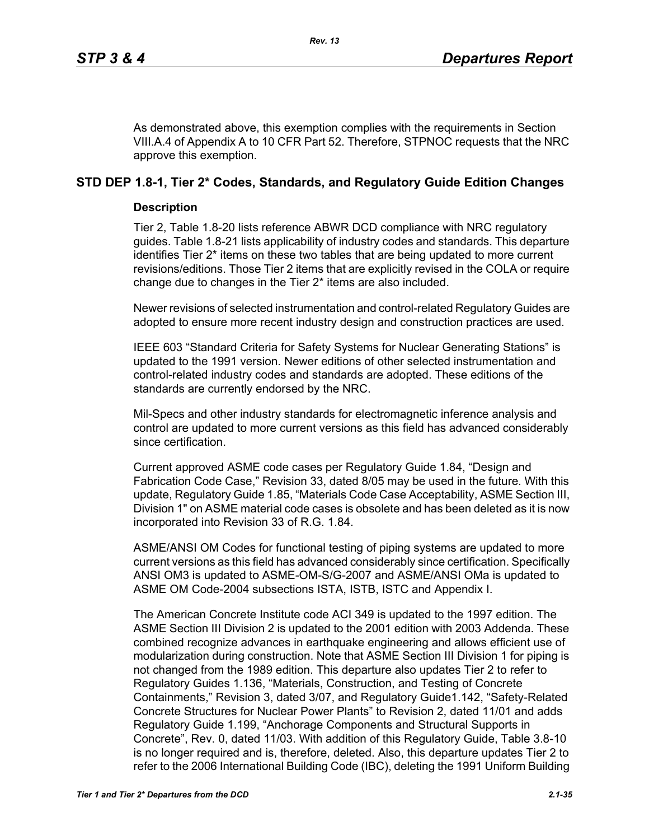As demonstrated above, this exemption complies with the requirements in Section VIII.A.4 of Appendix A to 10 CFR Part 52. Therefore, STPNOC requests that the NRC approve this exemption.

# **STD DEP 1.8-1, Tier 2\* Codes, Standards, and Regulatory Guide Edition Changes**

#### **Description**

Tier 2, Table 1.8-20 lists reference ABWR DCD compliance with NRC regulatory guides. Table 1.8-21 lists applicability of industry codes and standards. This departure identifies Tier 2\* items on these two tables that are being updated to more current revisions/editions. Those Tier 2 items that are explicitly revised in the COLA or require change due to changes in the Tier 2\* items are also included.

Newer revisions of selected instrumentation and control-related Regulatory Guides are adopted to ensure more recent industry design and construction practices are used.

IEEE 603 "Standard Criteria for Safety Systems for Nuclear Generating Stations" is updated to the 1991 version. Newer editions of other selected instrumentation and control-related industry codes and standards are adopted. These editions of the standards are currently endorsed by the NRC.

Mil-Specs and other industry standards for electromagnetic inference analysis and control are updated to more current versions as this field has advanced considerably since certification.

Current approved ASME code cases per Regulatory Guide 1.84, "Design and Fabrication Code Case," Revision 33, dated 8/05 may be used in the future. With this update, Regulatory Guide 1.85, "Materials Code Case Acceptability, ASME Section III, Division 1" on ASME material code cases is obsolete and has been deleted as it is now incorporated into Revision 33 of R.G. 1.84.

ASME/ANSI OM Codes for functional testing of piping systems are updated to more current versions as this field has advanced considerably since certification. Specifically ANSI OM3 is updated to ASME-OM-S/G-2007 and ASME/ANSI OMa is updated to ASME OM Code-2004 subsections ISTA, ISTB, ISTC and Appendix I.

The American Concrete Institute code ACI 349 is updated to the 1997 edition. The ASME Section III Division 2 is updated to the 2001 edition with 2003 Addenda. These combined recognize advances in earthquake engineering and allows efficient use of modularization during construction. Note that ASME Section III Division 1 for piping is not changed from the 1989 edition. This departure also updates Tier 2 to refer to Regulatory Guides 1.136, "Materials, Construction, and Testing of Concrete Containments," Revision 3, dated 3/07, and Regulatory Guide1.142, "Safety-Related Concrete Structures for Nuclear Power Plants" to Revision 2, dated 11/01 and adds Regulatory Guide 1.199, "Anchorage Components and Structural Supports in Concrete", Rev. 0, dated 11/03. With addition of this Regulatory Guide, Table 3.8-10 is no longer required and is, therefore, deleted. Also, this departure updates Tier 2 to refer to the 2006 International Building Code (IBC), deleting the 1991 Uniform Building